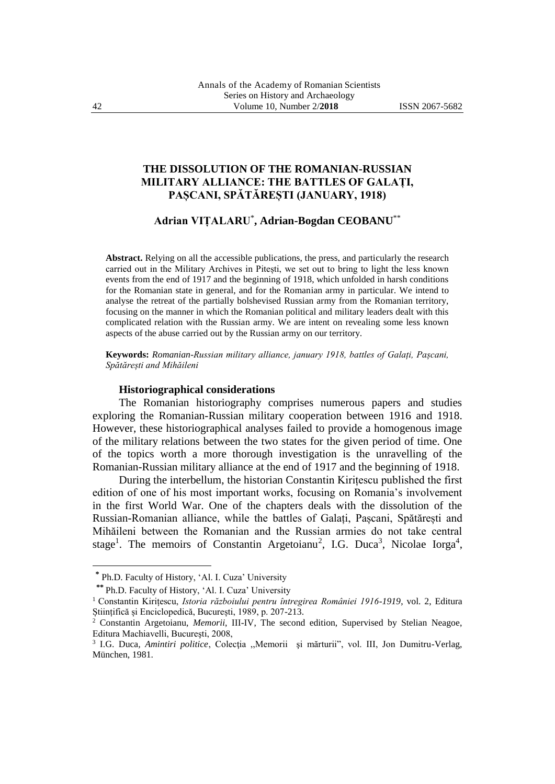# **THE DISSOLUTION OF THE ROMANIAN-RUSSIAN MILITARY ALLIANCE: THE BATTLES OF GALAȚI, PAȘCANI, SPĂTĂREȘTI (JANUARY, 1918)**

## **Adrian VIȚALARU**\* **, Adrian-Bogdan CEOBANU**\*\*

**Abstract.** Relying on all the accessible publications, the press, and particularly the research carried out in the Military Archives in Pitești, we set out to bring to light the less known events from the end of 1917 and the beginning of 1918, which unfolded in harsh conditions for the Romanian state in general, and for the Romanian army in particular. We intend to analyse the retreat of the partially bolshevised Russian army from the Romanian territory, focusing on the manner in which the Romanian political and military leaders dealt with this complicated relation with the Russian army. We are intent on revealing some less known aspects of the abuse carried out by the Russian army on our territory.

**Keywords:** *Romanian-Russian military alliance, january 1918, battles of Galați, Pașcani, Spătărești and Mihăileni*

#### **Historiographical considerations**

The Romanian historiography comprises numerous papers and studies exploring the Romanian-Russian military cooperation between 1916 and 1918. However, these historiographical analyses failed to provide a homogenous image of the military relations between the two states for the given period of time. One of the topics worth a more thorough investigation is the unravelling of the Romanian-Russian military alliance at the end of 1917 and the beginning of 1918.

During the interbellum, the historian Constantin Kirițescu published the first edition of one of his most important works, focusing on Romania's involvement in the first World War. One of the chapters deals with the dissolution of the Russian-Romanian alliance, while the battles of Galați, Pașcani, Spătărești and Mihăileni between the Romanian and the Russian armies do not take central stage<sup>1</sup>. The memoirs of Constantin Argetoianu<sup>2</sup>, I.G. Duca<sup>3</sup>, Nicolae Iorga<sup>4</sup>,

<sup>1</sup>**\*** Ph.D. Faculty of History, 'Al. I. Cuza' University

 **<sup>\*\*</sup>** Ph.D. Faculty of History, 'Al. I. Cuza' University

<sup>1</sup> Constantin Kirițescu, *Istoria războiului pentru întregirea României 1916-1919*, vol. 2, Editura Științifică și Enciclopedică, București, 1989, p. 207-213.<br><sup>2</sup> Constantin Argetoianu *Memorii* III-IV The second

<sup>2</sup> Constantin Argetoianu, *Memorii*, III-IV, The second edition, Supervised by Stelian Neagoe, Editura Machiavelli, Bucureşti, 2008,

<sup>3</sup> I.G. Duca*, Amintiri politice*, Colecţia ,,Memorii şi mărturii", vol. III, Jon Dumitru-Verlag, München, 1981.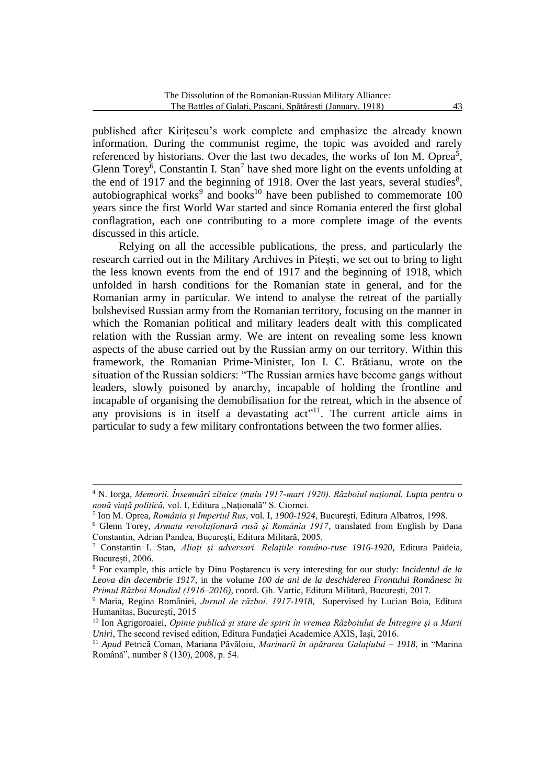published after Kirițescu's work complete and emphasize the already known information. During the communist regime, the topic was avoided and rarely referenced by historians. Over the last two decades, the works of Ion M. Oprea<sup>5</sup>, Glenn Torey<sup>6</sup>, Constantin I. Stan<sup>7</sup> have shed more light on the events unfolding at the end of 1917 and the beginning of 1918. Over the last years, several studies<sup>8</sup>, autobiographical works<sup>9</sup> and books<sup>10</sup> have been published to commemorate  $100$ years since the first World War started and since Romania entered the first global conflagration, each one contributing to a more complete image of the events discussed in this article.

Relying on all the accessible publications, the press, and particularly the research carried out in the Military Archives in Pitești, we set out to bring to light the less known events from the end of 1917 and the beginning of 1918, which unfolded in harsh conditions for the Romanian state in general, and for the Romanian army in particular. We intend to analyse the retreat of the partially bolshevised Russian army from the Romanian territory, focusing on the manner in which the Romanian political and military leaders dealt with this complicated relation with the Russian army. We are intent on revealing some less known aspects of the abuse carried out by the Russian army on our territory. Within this framework, the Romanian Prime-Minister, Ion I. C. Brătianu, wrote on the situation of the Russian soldiers: "The Russian armies have become gangs without leaders, slowly poisoned by anarchy, incapable of holding the frontline and incapable of organising the demobilisation for the retreat, which in the absence of any provisions is in itself a devastating  $act$ <sup>11</sup>. The current article aims in particular to sudy a few military confrontations between the two former allies.

 $\overline{a}$ 

<sup>4</sup> N. Iorga, *Memorii. Însemnări zilnice (maiu 1917-mart 1920). Războiul naţional. Lupta pentru o nouă viaţă politică,* vol. I, Editura ,,Naţională" S. Ciornei.

<sup>5</sup> Ion M. Oprea, *România și Imperiul Rus*, vol. I, *1900-1924*, București, Editura Albatros, 1998.

<sup>6</sup> Glenn Torey, *Armata revoluționară rusă și România 1917*, translated from English by Dana Constantin, Adrian Pandea, București, Editura Militară, 2005.

<sup>7</sup> Constantin I. Stan, *Aliați și adversari. Relațiile româno-ruse 1916-1920*, Editura Paideia, București, 2006.

<sup>8</sup> For example, this article by Dinu Poștarencu is very interesting for our study: *Incidentul de la Leova din decembrie 1917*, in the volume *100 de ani de la deschiderea Frontului Românesc în Primul Război Mondial (1916–2016)*, coord. Gh. Vartic, Editura Militară, București, 2017.

<sup>9</sup> Maria, Regina României, *Jurnal de război. 1917-1918*, Supervised by Lucian Boia, Editura Humanitas, Bucureşti, 2015

<sup>10</sup> Ion Agrigoroaiei, *Opinie publică şi stare de spirit în vremea Războiului de Întregire şi a Marii Uniri*, The second revised edition, Editura Fundaţiei Academice AXIS, Iaşi, 2016.

<sup>11</sup> *Apud* Petrică Coman, Mariana Păvăloiu, *Marinarii în apărarea Galațiului – 1918*, in "Marina Română", number 8 (130), 2008, p. 54.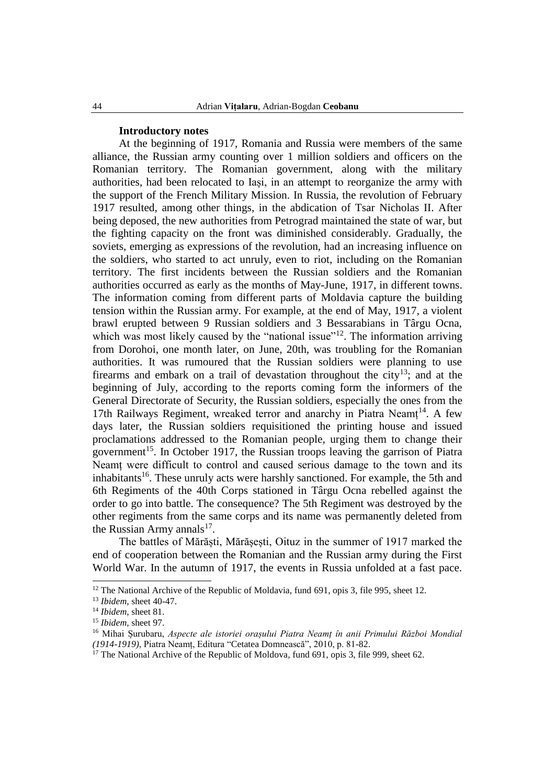### **Introductory notes**

At the beginning of 1917, Romania and Russia were members of the same alliance, the Russian army counting over 1 million soldiers and officers on the Romanian territory. The Romanian government, along with the military authorities, had been relocated to Iași, in an attempt to reorganize the army with the support of the French Military Mission. In Russia, the revolution of February 1917 resulted, among other things, in the abdication of Tsar Nicholas II. After being deposed, the new authorities from Petrograd maintained the state of war, but the fighting capacity on the front was diminished considerably. Gradually, the soviets, emerging as expressions of the revolution, had an increasing influence on the soldiers, who started to act unruly, even to riot, including on the Romanian territory. The first incidents between the Russian soldiers and the Romanian authorities occurred as early as the months of May-June, 1917, in different towns. The information coming from different parts of Moldavia capture the building tension within the Russian army. For example, at the end of May, 1917, a violent brawl erupted between 9 Russian soldiers and 3 Bessarabians in Târgu Ocna, which was most likely caused by the "national issue"<sup>12</sup>. The information arriving from Dorohoi, one month later, on June, 20th, was troubling for the Romanian authorities. It was rumoured that the Russian soldiers were planning to use firearms and embark on a trail of devastation throughout the city<sup>13</sup>; and at the beginning of July, according to the reports coming form the informers of the General Directorate of Security, the Russian soldiers, especially the ones from the 17th Railways Regiment, wreaked terror and anarchy in Piatra Neamț<sup>14</sup>. A few days later, the Russian soldiers requisitioned the printing house and issued proclamations addressed to the Romanian people, urging them to change their government<sup>15</sup>. In October 1917, the Russian troops leaving the garrison of Piatra Neamț were difficult to control and caused serious damage to the town and its inhabitants<sup>16</sup>. These unruly acts were harshly sanctioned. For example, the 5th and 6th Regiments of the 40th Corps stationed in Târgu Ocna rebelled against the order to go into battle. The consequence? The 5th Regiment was destroyed by the other regiments from the same corps and its name was permanently deleted from the Russian Army annals<sup>17</sup>.

The battles of Mărăști, Mărășești, Oituz in the summer of 1917 marked the end of cooperation between the Romanian and the Russian army during the First World War. In the autumn of 1917, the events in Russia unfolded at a fast pace.

<sup>&</sup>lt;sup>12</sup> The National Archive of the Republic of Moldavia, fund 691, opis 3, file 995, sheet 12.

<sup>13</sup> *Ibidem*, sheet 40-47.

<sup>14</sup> *Ibidem*, sheet 81.

<sup>15</sup> *Ibidem*, sheet 97.

<sup>16</sup> Mihai Șurubaru, *Aspecte ale istoriei orașului Piatra Neamț în anii Primului Război Mondial (1914-1919)*, Piatra Neamț, Editura "Cetatea Domnească", 2010, p. 81-82.

<sup>&</sup>lt;sup>17</sup> The National Archive of the Republic of Moldova, fund 691, opis 3, file 999, sheet 62.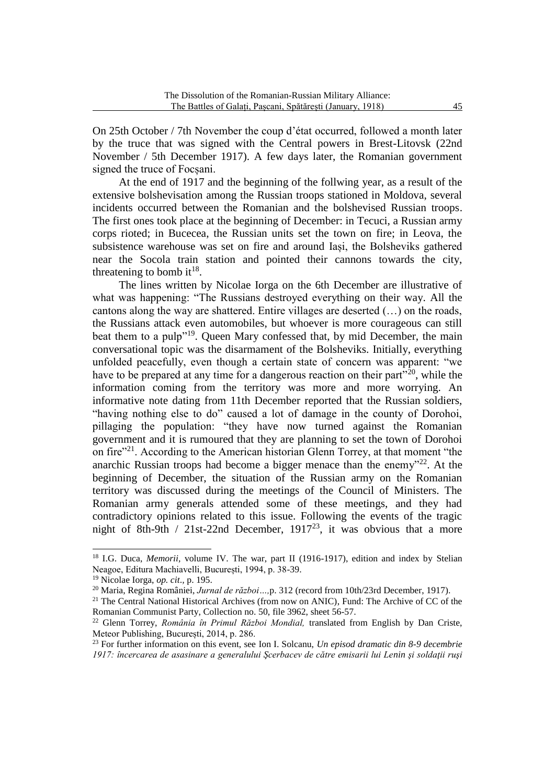On 25th October / 7th November the coup d'état occurred, followed a month later by the truce that was signed with the Central powers in Brest-Litovsk (22nd November / 5th December 1917). A few days later, the Romanian government signed the truce of Focsani.

At the end of 1917 and the beginning of the follwing year, as a result of the extensive bolshevisation among the Russian troops stationed in Moldova, several incidents occurred between the Romanian and the bolshevised Russian troops. The first ones took place at the beginning of December: in Tecuci, a Russian army corps rioted; in Bucecea, the Russian units set the town on fire; in Leova, the subsistence warehouse was set on fire and around Iași, the Bolsheviks gathered near the Socola train station and pointed their cannons towards the city, threatening to bomb it<sup>18</sup>.

The lines written by Nicolae Iorga on the 6th December are illustrative of what was happening: "The Russians destroyed everything on their way. All the cantons along the way are shattered. Entire villages are deserted (…) on the roads, the Russians attack even automobiles, but whoever is more courageous can still beat them to a pulp"<sup>19</sup>. Queen Mary confessed that, by mid December, the main conversational topic was the disarmament of the Bolsheviks. Initially, everything unfolded peacefully, even though a certain state of concern was apparent: "we have to be prepared at any time for a dangerous reaction on their part<sup> $20$ </sup>, while the information coming from the territory was more and more worrying. An informative note dating from 11th December reported that the Russian soldiers, "having nothing else to do" caused a lot of damage in the county of Dorohoi, pillaging the population: "they have now turned against the Romanian government and it is rumoured that they are planning to set the town of Dorohoi on fire"<sup>21</sup>. According to the American historian Glenn Torrey, at that moment "the anarchic Russian troops had become a bigger menace than the enemy"<sup>22</sup>. At the beginning of December, the situation of the Russian army on the Romanian territory was discussed during the meetings of the Council of Ministers. The Romanian army generals attended some of these meetings, and they had contradictory opinions related to this issue. Following the events of the tragic night of 8th-9th / 21st-22nd December,  $1917^{23}$ , it was obvious that a more

<sup>&</sup>lt;sup>18</sup> I.G. Duca, *Memorii*, volume IV. The war, part II (1916-1917), edition and index by Stelian Neagoe, Editura Machiavelli, București, 1994, p. 38-39.

<sup>19</sup> Nicolae Iorga, *op. cit*.*,* p. 195.

<sup>20</sup> Maria, Regina României, *Jurnal de război…,*p. 312 (record from 10th/23rd December, 1917).

 $21$  The Central National Historical Archives (from now on ANIC), Fund: The Archive of CC of the Romanian Communist Party, Collection no. 50, file 3962, sheet 56-57.

<sup>22</sup> Glenn Torrey, *România în Primul Război Mondial,* translated from English by Dan Criste, Meteor Publishing, București, 2014, p. 286.

<sup>23</sup> For further information on this event, see Ion I. Solcanu, *Un episod dramatic din 8-9 decembrie 1917: încercarea de asasinare a generalului Şcerbacev de către emisarii lui Lenin şi soldaţii ruşi*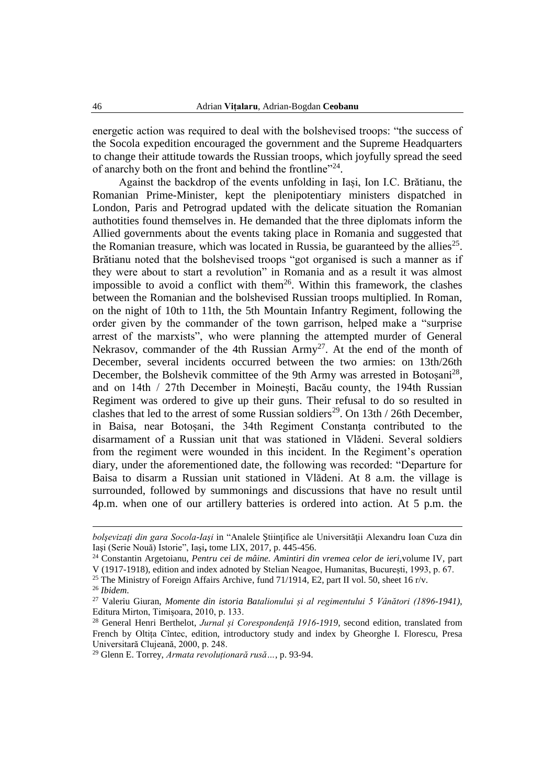energetic action was required to deal with the bolshevised troops: "the success of the Socola expedition encouraged the government and the Supreme Headquarters to change their attitude towards the Russian troops, which joyfully spread the seed of anarchy both on the front and behind the frontline"<sup>24</sup>.

Against the backdrop of the events unfolding in Iași, Ion I.C. Brătianu, the Romanian Prime-Minister, kept the plenipotentiary ministers dispatched in London, Paris and Petrograd updated with the delicate situation the Romanian authotities found themselves in. He demanded that the three diplomats inform the Allied governments about the events taking place in Romania and suggested that the Romanian treasure, which was located in Russia, be guaranteed by the allies<sup>25</sup>. Brătianu noted that the bolshevised troops "got organised is such a manner as if they were about to start a revolution" in Romania and as a result it was almost impossible to avoid a conflict with them<sup>26</sup>. Within this framework, the clashes between the Romanian and the bolshevised Russian troops multiplied. In Roman, on the night of 10th to 11th, the 5th Mountain Infantry Regiment, following the order given by the commander of the town garrison, helped make a "surprise arrest of the marxists", who were planning the attempted murder of General Nekrasov, commander of the 4th Russian  $Army^{27}$ . At the end of the month of December, several incidents occurred between the two armies: on 13th/26th December, the Bolshevik committee of the 9th Army was arrested in Botoșani<sup>28</sup>, and on 14th / 27th December in Moinești, Bacău county, the 194th Russian Regiment was ordered to give up their guns. Their refusal to do so resulted in clashes that led to the arrest of some Russian soldiers<sup>29</sup>. On 13th / 26th December, in Baisa, near Botoșani, the 34th Regiment Constanța contributed to the disarmament of a Russian unit that was stationed in Vlădeni. Several soldiers from the regiment were wounded in this incident. In the Regiment's operation diary, under the aforementioned date, the following was recorded: "Departure for Baisa to disarm a Russian unit stationed in Vlădeni. At 8 a.m. the village is surrounded, followed by summonings and discussions that have no result until 4p.m. when one of our artillery batteries is ordered into action. At 5 p.m. the

<sup>25</sup> The Ministry of Foreign Affairs Archive, fund 71/1914, E2, part II vol. 50, sheet 16 r/v.

**.** 

*bolşevizaţi din gara Socola-Iaşi* in "Analele Ştiinţifice ale Universităţii Alexandru Ioan Cuza din Iaşi (Serie Nouă) Istorie", Iaşi**,** tome LIX, 2017, p. 445-456.

<sup>24</sup> Constantin Argetoianu, *Pentru cei de mâine. Amintiri din vremea celor de ieri*,volume IV, part V (1917-1918), edition and index adnoted by Stelian Neagoe, Humanitas, București, 1993, p. 67.

<sup>26</sup> *Ibidem*.

<sup>27</sup> Valeriu Giuran, *Momente din istoria Batalionului și al regimentului 5 Vânători (1896-1941)*, Editura Mirton, Timișoara, 2010, p. 133.

<sup>28</sup> General Henri Berthelot, *Jurnal și Corespondență 1916-1919*, second edition, translated from French by Oltița Cîntec, edition, introductory study and index by Gheorghe I. Florescu, Presa Universitară Clujeană, 2000, p. 248.

<sup>29</sup> Glenn E. Torrey, *Armata revoluționară rusă…*, p. 93-94.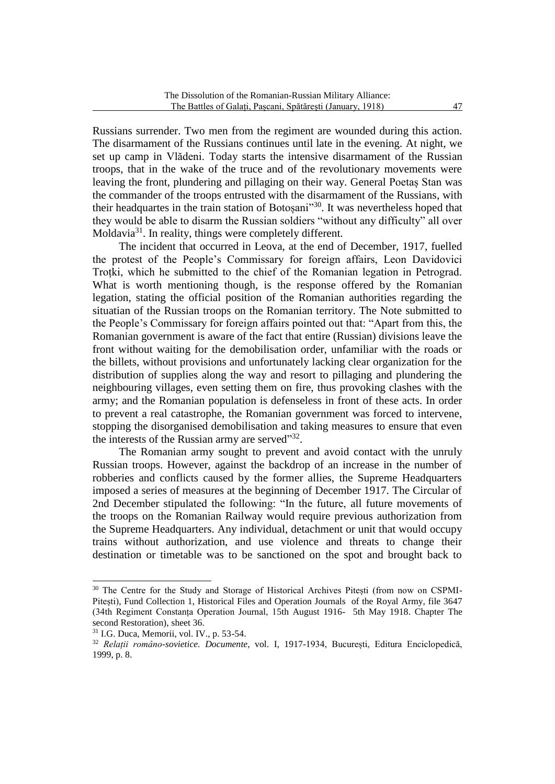Russians surrender. Two men from the regiment are wounded during this action. The disarmament of the Russians continues until late in the evening. At night, we set up camp in Vlădeni. Today starts the intensive disarmament of the Russian troops, that in the wake of the truce and of the revolutionary movements were leaving the front, plundering and pillaging on their way. General Poetaș Stan was the commander of the troops entrusted with the disarmament of the Russians, with their headquartes in the train station of Botoșani<sup>130</sup>. It was nevertheless hoped that they would be able to disarm the Russian soldiers "without any difficulty" all over Moldavia<sup>31</sup>. In reality, things were completely different.

The incident that occurred in Leova, at the end of December, 1917, fuelled the protest of the People's Commissary for foreign affairs, Leon Davidovici Troțki, which he submitted to the chief of the Romanian legation in Petrograd. What is worth mentioning though, is the response offered by the Romanian legation, stating the official position of the Romanian authorities regarding the situatian of the Russian troops on the Romanian territory. The Note submitted to the People's Commissary for foreign affairs pointed out that: "Apart from this, the Romanian government is aware of the fact that entire (Russian) divisions leave the front without waiting for the demobilisation order, unfamiliar with the roads or the billets, without provisions and unfortunately lacking clear organization for the distribution of supplies along the way and resort to pillaging and plundering the neighbouring villages, even setting them on fire, thus provoking clashes with the army; and the Romanian population is defenseless in front of these acts. In order to prevent a real catastrophe, the Romanian government was forced to intervene, stopping the disorganised demobilisation and taking measures to ensure that even the interests of the Russian army are served"32.

The Romanian army sought to prevent and avoid contact with the unruly Russian troops. However, against the backdrop of an increase in the number of robberies and conflicts caused by the former allies, the Supreme Headquarters imposed a series of measures at the beginning of December 1917. The Circular of 2nd December stipulated the following: "In the future, all future movements of the troops on the Romanian Railway would require previous authorization from the Supreme Headquarters. Any individual, detachment or unit that would occupy trains without authorization, and use violence and threats to change their destination or timetable was to be sanctioned on the spot and brought back to

<sup>&</sup>lt;sup>30</sup> The Centre for the Study and Storage of Historical Archives Pitesti (from now on CSPMI-Pitești), Fund Collection 1, Historical Files and Operation Journals of the Royal Army, file 3647 (34th Regiment Constanța Operation Journal, 15th August 1916- 5th May 1918. Chapter The second Restoration), sheet 36.

<sup>31</sup> I.G. Duca, Memorii, vol. IV., p. 53-54.

<sup>32</sup> *Relații româno-sovietice. Documente*, vol. I, 1917-1934, București, Editura Enciclopedică, 1999, p. 8.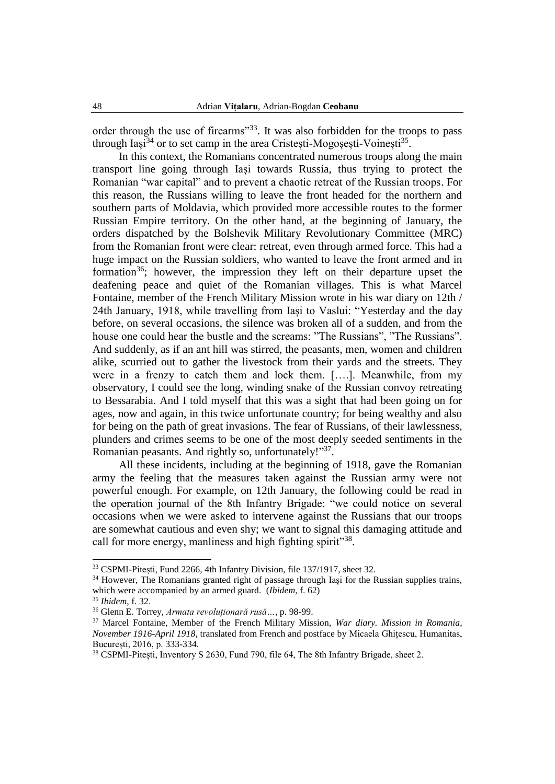order through the use of firearms<sup>33</sup>. It was also forbidden for the troops to pass through Iași<sup>34</sup> or to set camp in the area Cristești-Mogoșești-Voinești<sup>35</sup>.

In this context, the Romanians concentrated numerous troops along the main transport line going through Iași towards Russia, thus trying to protect the Romanian "war capital" and to prevent a chaotic retreat of the Russian troops. For this reason, the Russians willing to leave the front headed for the northern and southern parts of Moldavia, which provided more accessible routes to the former Russian Empire territory. On the other hand, at the beginning of January, the orders dispatched by the Bolshevik Military Revolutionary Committee (MRC) from the Romanian front were clear: retreat, even through armed force. This had a huge impact on the Russian soldiers, who wanted to leave the front armed and in formation<sup>36</sup>; however, the impression they left on their departure upset the deafening peace and quiet of the Romanian villages. This is what Marcel Fontaine, member of the French Military Mission wrote in his war diary on 12th / 24th January, 1918, while travelling from Iași to Vaslui: "Yesterday and the day before, on several occasions, the silence was broken all of a sudden, and from the house one could hear the bustle and the screams: "The Russians", "The Russians". And suddenly, as if an ant hill was stirred, the peasants, men, women and children alike, scurried out to gather the livestock from their yards and the streets. They were in a frenzy to catch them and lock them. [….]. Meanwhile, from my observatory, I could see the long, winding snake of the Russian convoy retreating to Bessarabia. And I told myself that this was a sight that had been going on for ages, now and again, in this twice unfortunate country; for being wealthy and also for being on the path of great invasions. The fear of Russians, of their lawlessness, plunders and crimes seems to be one of the most deeply seeded sentiments in the Romanian peasants. And rightly so, unfortunately!"37.

All these incidents, including at the beginning of 1918, gave the Romanian army the feeling that the measures taken against the Russian army were not powerful enough. For example, on 12th January, the following could be read in the operation journal of the 8th Infantry Brigade: "we could notice on several occasions when we were asked to intervene against the Russians that our troops are somewhat cautious and even shy; we want to signal this damaging attitude and call for more energy, manliness and high fighting spirit"<sup>38</sup>.

<sup>&</sup>lt;sup>33</sup> CSPMI-Pitești, Fund 2266, 4th Infantry Division, file 137/1917, sheet 32.

<sup>&</sup>lt;sup>34</sup> However, The Romanians granted right of passage through Iasi for the Russian supplies trains, which were accompanied by an armed guard. (*Ibidem,* f. 62)

<sup>35</sup> *Ibidem*, f. 32.

<sup>36</sup> Glenn E. Torrey, *Armata revoluționară rusă…*, p. 98-99.

<sup>37</sup> Marcel Fontaine, Member of the French Military Mission, *War diary. Mission in Romania, November 1916-April 1918*, translated from French and postface by Micaela Ghițescu, Humanitas, București, 2016, p. 333-334.

<sup>38</sup> CSPMI-Pitești, Inventory S 2630, Fund 790, file 64, The 8th Infantry Brigade, sheet 2.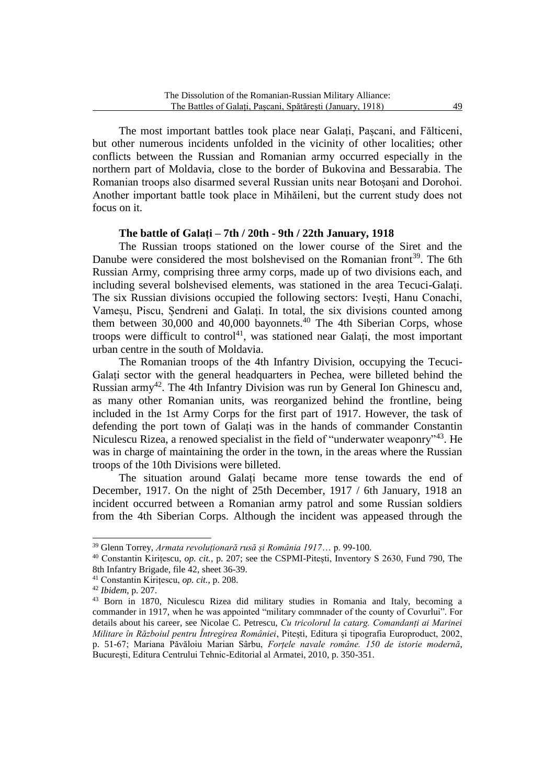The most important battles took place near Galați, Pașcani, and Fălticeni, but other numerous incidents unfolded in the vicinity of other localities; other conflicts between the Russian and Romanian army occurred especially in the northern part of Moldavia, close to the border of Bukovina and Bessarabia. The Romanian troops also disarmed several Russian units near Botoșani and Dorohoi. Another important battle took place in Mihăileni, but the current study does not focus on it.

## **The battle of Galați – 7th / 20th - 9th / 22th January, 1918**

The Russian troops stationed on the lower course of the Siret and the Danube were considered the most bolshevised on the Romanian front<sup>39</sup>. The 6th Russian Army, comprising three army corps, made up of two divisions each, and including several bolshevised elements, was stationed in the area Tecuci-Galați. The six Russian divisions occupied the following sectors: Ivești, Hanu Conachi, Vameșu, Piscu, Șendreni and Galați. In total, the six divisions counted among them between  $30,000$  and  $40,000$  bayonnets.<sup>40</sup> The 4th Siberian Corps, whose troops were difficult to control<sup>41</sup>, was stationed near Galati, the most important urban centre in the south of Moldavia.

The Romanian troops of the 4th Infantry Division, occupying the Tecuci-Galați sector with the general headquarters in Pechea, were billeted behind the Russian army<sup>42</sup>. The 4th Infantry Division was run by General Ion Ghinescu and, as many other Romanian units, was reorganized behind the frontline, being included in the 1st Army Corps for the first part of 1917. However, the task of defending the port town of Galați was in the hands of commander Constantin Niculescu Rizea, a renowed specialist in the field of "underwater weaponry"<sup>43</sup>. He was in charge of maintaining the order in the town, in the areas where the Russian troops of the 10th Divisions were billeted.

The situation around Galați became more tense towards the end of December, 1917. On the night of 25th December, 1917 / 6th January, 1918 an incident occurred between a Romanian army patrol and some Russian soldiers from the 4th Siberian Corps. Although the incident was appeased through the

<sup>39</sup> Glenn Torrey, *Armata revoluționară rusă și România 1917*… p. 99-100.

<sup>40</sup> Constantin Kirițescu, *op. cit.*, p. 207; see the CSPMI-Pitești, Inventory S 2630, Fund 790, The 8th Infantry Brigade, file 42, sheet 36-39.

<sup>41</sup> Constantin Kirițescu, *op. cit.*, p. 208.

<sup>42</sup> *Ibidem*, p. 207.

<sup>43</sup> Born in 1870, Niculescu Rizea did military studies in Romania and Italy, becoming a commander in 1917, when he was appointed "military commnader of the county of Covurlui". For details about his career, see Nicolae C. Petrescu, *Cu tricolorul la catarg. Comandanți ai Marinei Militare în Războiul pentru Întregirea României*, Pitești, Editura și tipografia Europroduct, 2002, p. 51-67; Mariana Păvăloiu Marian Sârbu, *Forțele navale române. 150 de istorie modernă*, București, Editura Centrului Tehnic-Editorial al Armatei, 2010, p. 350-351.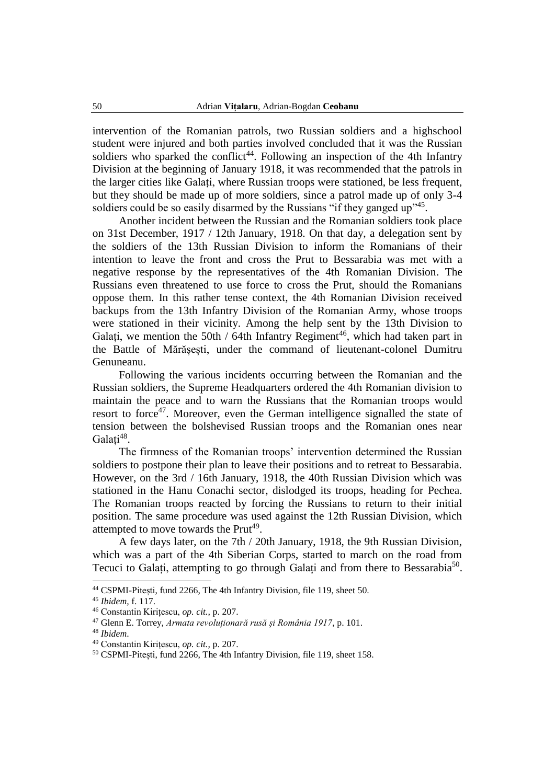intervention of the Romanian patrols, two Russian soldiers and a highschool student were injured and both parties involved concluded that it was the Russian soldiers who sparked the conflict<sup>44</sup>. Following an inspection of the 4th Infantry Division at the beginning of January 1918, it was recommended that the patrols in the larger cities like Galați, where Russian troops were stationed, be less frequent, but they should be made up of more soldiers, since a patrol made up of only 3-4 soldiers could be so easily disarmed by the Russians "if they ganged  $up$ <sup>345</sup>.

Another incident between the Russian and the Romanian soldiers took place on 31st December, 1917 / 12th January, 1918. On that day, a delegation sent by the soldiers of the 13th Russian Division to inform the Romanians of their intention to leave the front and cross the Prut to Bessarabia was met with a negative response by the representatives of the 4th Romanian Division. The Russians even threatened to use force to cross the Prut, should the Romanians oppose them. In this rather tense context, the 4th Romanian Division received backups from the 13th Infantry Division of the Romanian Army, whose troops were stationed in their vicinity. Among the help sent by the 13th Division to Galați, we mention the 50th / 64th Infantry Regiment<sup>46</sup>, which had taken part in the Battle of Mărășești, under the command of lieutenant-colonel Dumitru Genuneanu.

Following the various incidents occurring between the Romanian and the Russian soldiers, the Supreme Headquarters ordered the 4th Romanian division to maintain the peace and to warn the Russians that the Romanian troops would resort to force<sup>47</sup>. Moreover, even the German intelligence signalled the state of tension between the bolshevised Russian troops and the Romanian ones near Galați<sup>48</sup>.

The firmness of the Romanian troops' intervention determined the Russian soldiers to postpone their plan to leave their positions and to retreat to Bessarabia. However, on the 3rd / 16th January, 1918, the 40th Russian Division which was stationed in the Hanu Conachi sector, dislodged its troops, heading for Pechea. The Romanian troops reacted by forcing the Russians to return to their initial position. The same procedure was used against the 12th Russian Division, which attempted to move towards the Prut<sup>49</sup>.

A few days later, on the 7th / 20th January, 1918, the 9th Russian Division, which was a part of the 4th Siberian Corps, started to march on the road from Tecuci to Galați, attempting to go through Galați and from there to Bessarabia<sup>50</sup>.

<sup>44</sup> CSPMI-Pitești, fund 2266, The 4th Infantry Division, file 119, sheet 50.

<sup>45</sup> *Ibidem,* f. 117.

<sup>46</sup> Constantin Kirițescu, *op. cit.,* p. 207.

<sup>47</sup> Glenn E. Torrey, *Armata revoluționară rusă și România 1917*, p. 101.

<sup>48</sup> *Ibidem*.

<sup>49</sup> Constantin Kirițescu, *op. cit.,* p. 207.

<sup>50</sup> CSPMI-Pitești, fund 2266, The 4th Infantry Division, file 119, sheet 158.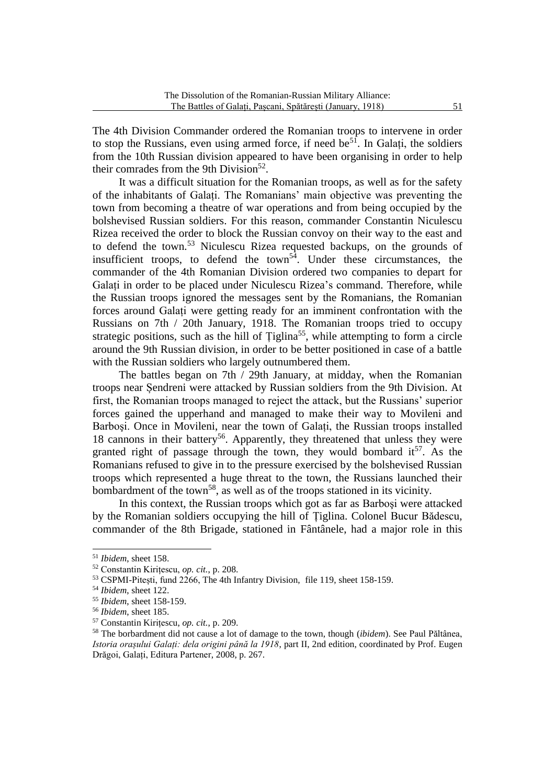The 4th Division Commander ordered the Romanian troops to intervene in order to stop the Russians, even using armed force, if need  $be^{51}$ . In Galați, the soldiers from the 10th Russian division appeared to have been organising in order to help their comrades from the 9th Division<sup>52</sup>.

It was a difficult situation for the Romanian troops, as well as for the safety of the inhabitants of Galați. The Romanians' main objective was preventing the town from becoming a theatre of war operations and from being occupied by the bolshevised Russian soldiers. For this reason, commander Constantin Niculescu Rizea received the order to block the Russian convoy on their way to the east and to defend the town.<sup>53</sup> Niculescu Rizea requested backups, on the grounds of insufficient troops, to defend the town<sup>54</sup>. Under these circumstances, the commander of the 4th Romanian Division ordered two companies to depart for Galați in order to be placed under Niculescu Rizea's command. Therefore, while the Russian troops ignored the messages sent by the Romanians, the Romanian forces around Galați were getting ready for an imminent confrontation with the Russians on 7th / 20th January, 1918. The Romanian troops tried to occupy strategic positions, such as the hill of  $Tiglina<sup>55</sup>$ , while attempting to form a circle around the 9th Russian division, in order to be better positioned in case of a battle with the Russian soldiers who largely outnumbered them.

The battles began on 7th / 29th January, at midday, when the Romanian troops near Șendreni were attacked by Russian soldiers from the 9th Division. At first, the Romanian troops managed to reject the attack, but the Russians' superior forces gained the upperhand and managed to make their way to Movileni and Barboşi. Once in Movileni, near the town of Galați, the Russian troops installed 18 cannons in their battery<sup>56</sup>. Apparently, they threatened that unless they were granted right of passage through the town, they would bombard  $it^{57}$ . As the Romanians refused to give in to the pressure exercised by the bolshevised Russian troops which represented a huge threat to the town, the Russians launched their bombardment of the town<sup>58</sup>, as well as of the troops stationed in its vicinity.

In this context, the Russian troops which got as far as Barboşi were attacked by the Romanian soldiers occupying the hill of Țiglina. Colonel Bucur Bădescu, commander of the 8th Brigade, stationed in Fântânele, had a major role in this

<sup>51</sup> *Ibidem*, sheet 158.

<sup>52</sup> Constantin Kirițescu, *op. cit.*, p. 208.

<sup>53</sup> CSPMI-Pitești, fund 2266, The 4th Infantry Division, file 119, sheet 158-159.

<sup>54</sup> *Ibidem*, sheet 122.

<sup>55</sup> *Ibidem*, sheet 158-159.

<sup>56</sup> *Ibidem*, sheet 185.

<sup>57</sup> Constantin Kirițescu, *op. cit.*, p. 209.

<sup>58</sup> The borbardment did not cause a lot of damage to the town, though (*ibidem*). See Paul Păltânea, *Istoria orașului Galați: dela origini până la 1918*, part II, 2nd edition, coordinated by Prof. Eugen Drăgoi, Galați, Editura Partener, 2008, p. 267.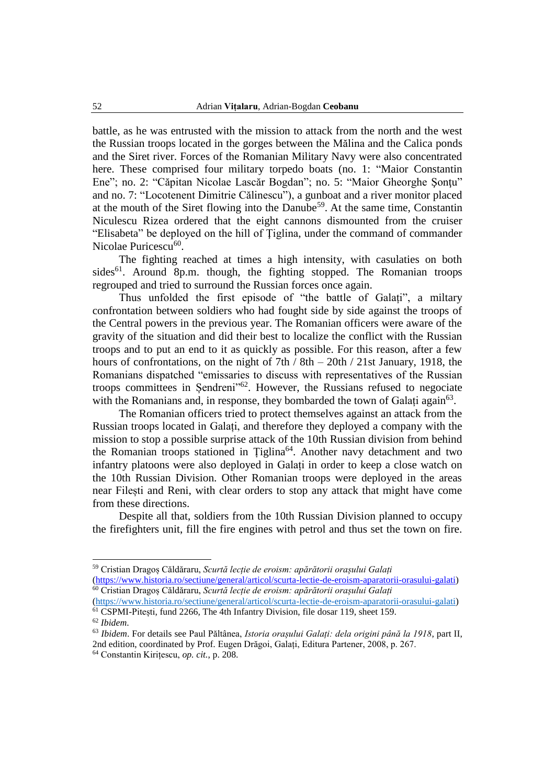battle, as he was entrusted with the mission to attack from the north and the west the Russian troops located in the gorges between the Mălina and the Calica ponds and the Siret river. Forces of the Romanian Military Navy were also concentrated here. These comprised four military torpedo boats (no. 1: "Maior Constantin Ene"; no. 2: "Căpitan Nicolae Lascăr Bogdan"; no. 5: "Maior Gheorghe Şonţu" and no. 7: "Locotenent Dimitrie Călinescu"), a gunboat and a river monitor placed at the mouth of the Siret flowing into the Danube<sup>59</sup>. At the same time, Constantin Niculescu Rizea ordered that the eight cannons dismounted from the cruiser "Elisabeta" be deployed on the hill of Ţiglina, under the command of commander Nicolae Puricescu<sup>60</sup>.

The fighting reached at times a high intensity, with casulaties on both sides<sup>61</sup>. Around 8p.m. though, the fighting stopped. The Romanian troops regrouped and tried to surround the Russian forces once again.

Thus unfolded the first episode of "the battle of Galați", a miltary confrontation between soldiers who had fought side by side against the troops of the Central powers in the previous year. The Romanian officers were aware of the gravity of the situation and did their best to localize the conflict with the Russian troops and to put an end to it as quickly as possible. For this reason, after a few hours of confrontations, on the night of 7th / 8th – 20th / 21st January, 1918, the Romanians dispatched "emissaries to discuss with representatives of the Russian troops committees in Șendreni"<sup>62</sup> . However, the Russians refused to negociate with the Romanians and, in response, they bombarded the town of Galați again<sup>63</sup>.

The Romanian officers tried to protect themselves against an attack from the Russian troops located in Galați, and therefore they deployed a company with the mission to stop a possible surprise attack of the 10th Russian division from behind the Romanian troops stationed in Țiglina<sup>64</sup>. Another navy detachment and two infantry platoons were also deployed in Galați in order to keep a close watch on the 10th Russian Division. Other Romanian troops were deployed in the areas near Filești and Reni, with clear orders to stop any attack that might have come from these directions.

Despite all that, soldiers from the 10th Russian Division planned to occupy the firefighters unit, fill the fire engines with petrol and thus set the town on fire.

<sup>59</sup> Cristian Dragoș Căldăraru, *Scurtă lecție de eroism: apărătorii orașului Galați* [\(https://www.historia.ro/sectiune/general/articol/scurta-lectie-de-eroism-aparatorii-orasului-galati\)](https://www.historia.ro/sectiune/general/articol/scurta-lectie-de-eroism-aparatorii-orasului-galati) <sup>60</sup> Cristian Dragoș Căldăraru, *Scurtă lecție de eroism: apărătorii orașului Galați*

[<sup>\(</sup>https://www.historia.ro/sectiune/general/articol/scurta-lectie-de-eroism-aparatorii-orasului-galati\)](https://www.historia.ro/sectiune/general/articol/scurta-lectie-de-eroism-aparatorii-orasului-galati) <sup>61</sup> CSPMI-Pitești, fund 2266, The 4th Infantry Division, file dosar 119, sheet 159.

<sup>62</sup> *Ibidem*.

<sup>63</sup> *Ibidem*. For details see Paul Păltânea, *Istoria orașului Galați: dela origini până la 1918*, part II, 2nd edition, coordinated by Prof. Eugen Drăgoi, Galați, Editura Partener, 2008, p. 267.

<sup>64</sup> Constantin Kirițescu, *op. cit.*, p. 208.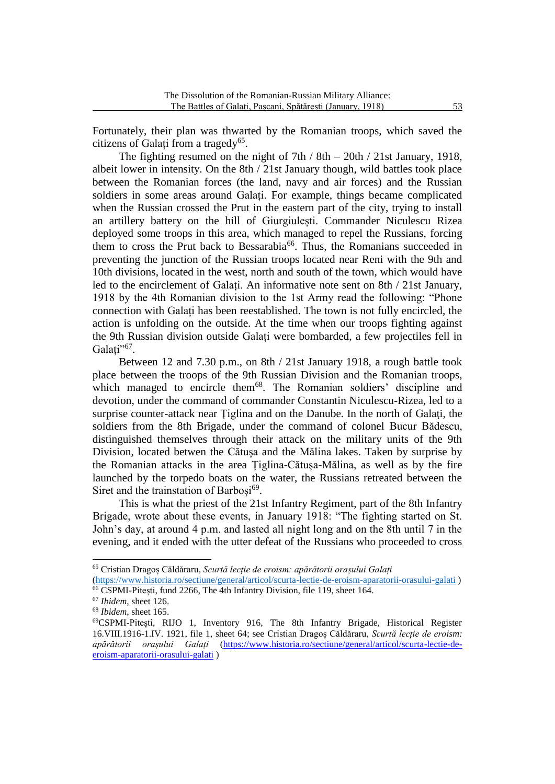Fortunately, their plan was thwarted by the Romanian troops, which saved the citizens of Galați from a tragedy<sup>65</sup>.

The fighting resumed on the night of 7th  $/ 8th - 20th / 21st January, 1918$ , albeit lower in intensity. On the 8th / 21st January though, wild battles took place between the Romanian forces (the land, navy and air forces) and the Russian soldiers in some areas around Galați. For example, things became complicated when the Russian crossed the Prut in the eastern part of the city, trying to install an artillery battery on the hill of Giurgiulești. Commander Niculescu Rizea deployed some troops in this area, which managed to repel the Russians, forcing them to cross the Prut back to Bessarabia<sup>66</sup>. Thus, the Romanians succeeded in preventing the junction of the Russian troops located near Reni with the 9th and 10th divisions, located in the west, north and south of the town, which would have led to the encirclement of Galați. An informative note sent on 8th / 21st January, 1918 by the 4th Romanian division to the 1st Army read the following: "Phone connection with Galați has been reestablished. The town is not fully encircled, the action is unfolding on the outside. At the time when our troops fighting against the 9th Russian division outside Galați were bombarded, a few projectiles fell in Galați"<sup>67</sup>.

Between 12 and 7.30 p.m., on 8th / 21st January 1918, a rough battle took place between the troops of the 9th Russian Division and the Romanian troops, which managed to encircle them<sup>68</sup>. The Romanian soldiers' discipline and devotion, under the command of commander Constantin Niculescu-Rizea, led to a surprise counter-attack near Tiglina and on the Danube. In the north of Galati, the soldiers from the 8th Brigade, under the command of colonel Bucur Bădescu, distinguished themselves through their attack on the military units of the 9th Division, located betwen the Cătușa and the Mălina lakes. Taken by surprise by the Romanian attacks in the area Ţiglina-Cătuşa-Mălina, as well as by the fire launched by the torpedo boats on the water, the Russians retreated between the Siret and the trainstation of Barboși<sup>69</sup>.

This is what the priest of the 21st Infantry Regiment, part of the 8th Infantry Brigade, wrote about these events, in January 1918: "The fighting started on St. John's day, at around 4 p.m. and lasted all night long and on the 8th until 7 in the evening, and it ended with the utter defeat of the Russians who proceeded to cross

<sup>65</sup> Cristian Dragoș Căldăraru, *Scurtă lecție de eroism: apărătorii orașului Galați*

[<sup>\(</sup>https://www.historia.ro/sectiune/general/articol/scurta-lectie-de-eroism-aparatorii-orasului-galati](https://www.historia.ro/sectiune/general/articol/scurta-lectie-de-eroism-aparatorii-orasului-galati) ) <sup>66</sup> CSPMI-Pitești, fund 2266, The 4th Infantry Division, file 119, sheet 164.

<sup>67</sup> *Ibidem*, sheet 126.

<sup>68</sup> *Ibidem*, sheet 165.

<sup>69</sup>CSPMI-Pitești, RIJO 1, Inventory 916, The 8th Infantry Brigade, Historical Register 16.VIII.1916-1.IV. 1921, file 1, sheet 64; see Cristian Dragoș Căldăraru, *Scurtă lecție de eroism: apărătorii orașului Galați* [\(https://www.historia.ro/sectiune/general/articol/scurta-lectie-de](https://www.historia.ro/sectiune/general/articol/scurta-lectie-de-eroism-aparatorii-orasului-galati)[eroism-aparatorii-orasului-galati](https://www.historia.ro/sectiune/general/articol/scurta-lectie-de-eroism-aparatorii-orasului-galati) )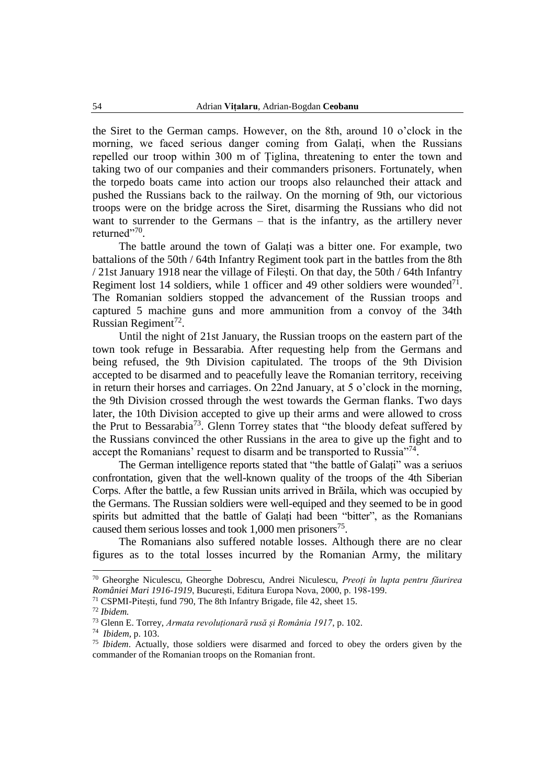the Siret to the German camps. However, on the 8th, around 10 o'clock in the morning, we faced serious danger coming from Galați, when the Russians repelled our troop within 300 m of Țiglina, threatening to enter the town and taking two of our companies and their commanders prisoners. Fortunately, when the torpedo boats came into action our troops also relaunched their attack and pushed the Russians back to the railway. On the morning of 9th, our victorious troops were on the bridge across the Siret, disarming the Russians who did not want to surrender to the Germans – that is the infantry, as the artillery never returned"<sup>70</sup>.

The battle around the town of Galați was a bitter one. For example, two battalions of the 50th / 64th Infantry Regiment took part in the battles from the 8th / 21st January 1918 near the village of Filești. On that day, the 50th / 64th Infantry Regiment lost 14 soldiers, while 1 officer and 49 other soldiers were wounded<sup>71</sup>. The Romanian soldiers stopped the advancement of the Russian troops and captured 5 machine guns and more ammunition from a convoy of the 34th Russian Regiment<sup>72</sup>.

Until the night of 21st January, the Russian troops on the eastern part of the town took refuge in Bessarabia. After requesting help from the Germans and being refused, the 9th Division capitulated. The troops of the 9th Division accepted to be disarmed and to peacefully leave the Romanian territory, receiving in return their horses and carriages. On 22nd January, at 5 o'clock in the morning, the 9th Division crossed through the west towards the German flanks. Two days later, the 10th Division accepted to give up their arms and were allowed to cross the Prut to Bessarabia<sup>73</sup>. Glenn Torrey states that "the bloody defeat suffered by the Russians convinced the other Russians in the area to give up the fight and to accept the Romanians' request to disarm and be transported to Russia"<sup>74</sup>.

The German intelligence reports stated that "the battle of Galați" was a seriuos confrontation, given that the well-known quality of the troops of the 4th Siberian Corps. After the battle, a few Russian units arrived in Brăila, which was occupied by the Germans. The Russian soldiers were well-equiped and they seemed to be in good spirits but admitted that the battle of Galați had been "bitter", as the Romanians caused them serious losses and took  $1,000$  men prisoners<sup>75</sup>.

The Romanians also suffered notable losses. Although there are no clear figures as to the total losses incurred by the Romanian Army, the military

<sup>70</sup> Gheorghe Niculescu, Gheorghe Dobrescu, Andrei Niculescu, *Preoți în lupta pentru făurirea României Mari 1916-1919*, București, Editura Europa Nova, 2000, p. 198-199.

<sup>71</sup> CSPMI-Pitești, fund 790, The 8th Infantry Brigade, file 42, sheet 15.

<sup>72</sup> *Ibidem.*

<sup>73</sup> Glenn E. Torrey, *Armata revoluționară rusă și România 1917*, p. 102.

<sup>74</sup> *Ibidem*, p. 103.

<sup>75</sup> *Ibidem*. Actually, those soldiers were disarmed and forced to obey the orders given by the commander of the Romanian troops on the Romanian front.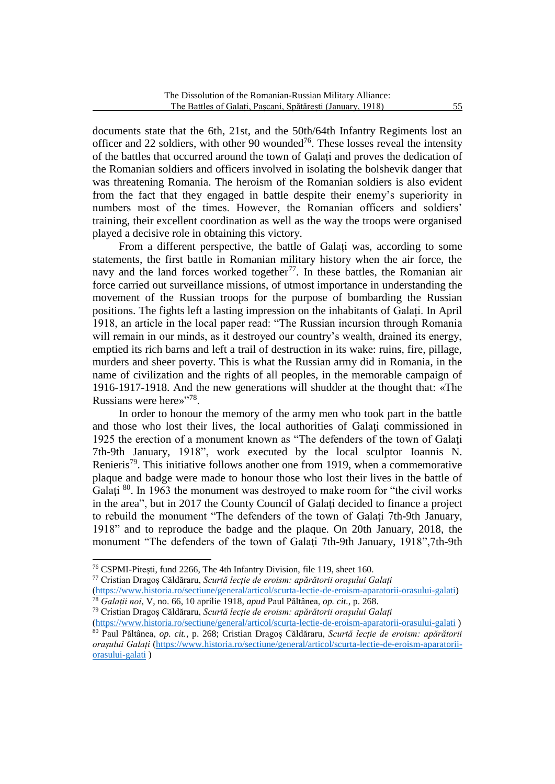documents state that the 6th, 21st, and the 50th/64th Infantry Regiments lost an officer and 22 soldiers, with other 90 wounded<sup>76</sup>. These losses reveal the intensity of the battles that occurred around the town of Galați and proves the dedication of the Romanian soldiers and officers involved in isolating the bolshevik danger that was threatening Romania. The heroism of the Romanian soldiers is also evident from the fact that they engaged in battle despite their enemy's superiority in numbers most of the times. However, the Romanian officers and soldiers' training, their excellent coordination as well as the way the troops were organised played a decisive role in obtaining this victory.

From a different perspective, the battle of Galați was, according to some statements, the first battle in Romanian military history when the air force, the navy and the land forces worked together<sup>77</sup>. In these battles, the Romanian air force carried out surveillance missions, of utmost importance in understanding the movement of the Russian troops for the purpose of bombarding the Russian positions. The fights left a lasting impression on the inhabitants of Galați. In April 1918, an article in the local paper read: "The Russian incursion through Romania will remain in our minds, as it destroyed our country's wealth, drained its energy, emptied its rich barns and left a trail of destruction in its wake: ruins, fire, pillage, murders and sheer poverty. This is what the Russian army did in Romania, in the name of civilization and the rights of all peoples, in the memorable campaign of 1916-1917-1918. And the new generations will shudder at the thought that: «The Russians were here»"<sup>78</sup>.

In order to honour the memory of the army men who took part in the battle and those who lost their lives, the local authorities of Galati commissioned in 1925 the erection of a monument known as "The defenders of the town of Galaţi 7th-9th January, 1918", work executed by the local sculptor Ioannis N. Renieris<sup>79</sup>. This initiative follows another one from 1919, when a commemorative plaque and badge were made to honour those who lost their lives in the battle of Galați<sup>80</sup>. In 1963 the monument was destroyed to make room for "the civil works in the area", but in 2017 the County Council of Galaţi decided to finance a project to rebuild the monument "The defenders of the town of Galaţi 7th-9th January, 1918" and to reproduce the badge and the plaque. On 20th January, 2018, the monument "The defenders of the town of Galaţi 7th-9th January, 1918",7th-9th

<sup>&</sup>lt;sup>76</sup> CSPMI-Pitești, fund 2266, The 4th Infantry Division, file 119, sheet 160.

<sup>77</sup> Cristian Dragoș Căldăraru, *Scurtă lecție de eroism: apărătorii orașului Galați*

[<sup>\(</sup>https://www.historia.ro/sectiune/general/articol/scurta-lectie-de-eroism-aparatorii-orasului-galati\)](https://www.historia.ro/sectiune/general/articol/scurta-lectie-de-eroism-aparatorii-orasului-galati) <sup>78</sup> *Galații noi*, V, no. 66, 10 aprilie 1918, *apud* Paul Păltânea, *op. cit.*, p. 268.

<sup>79</sup> Cristian Dragoș Căldăraru, *Scurtă lecție de eroism: apărătorii orașului Galați*

[<sup>\(</sup>https://www.historia.ro/sectiune/general/articol/scurta-lectie-de-eroism-aparatorii-orasului-galati](https://www.historia.ro/sectiune/general/articol/scurta-lectie-de-eroism-aparatorii-orasului-galati) ) <sup>80</sup> Paul Păltânea, *op. cit.*, p. 268; Cristian Dragoș Căldăraru, *Scurtă lecție de eroism: apărătorii orașului Galați* [\(https://www.historia.ro/sectiune/general/articol/scurta-lectie-de-eroism-aparatorii](https://www.historia.ro/sectiune/general/articol/scurta-lectie-de-eroism-aparatorii-orasului-galati)[orasului-galati](https://www.historia.ro/sectiune/general/articol/scurta-lectie-de-eroism-aparatorii-orasului-galati) )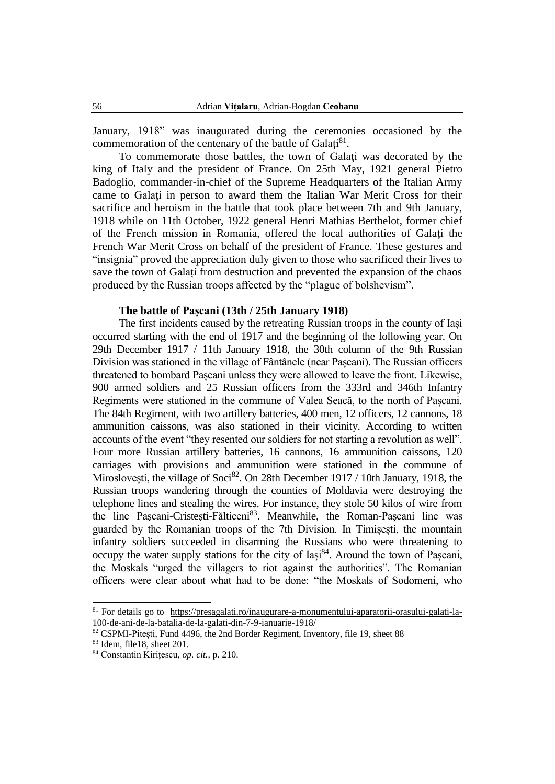January, 1918" was inaugurated during the ceremonies occasioned by the commemoration of the centenary of the battle of Galați<sup>81</sup>.

To commemorate those battles, the town of Galaţi was decorated by the king of Italy and the president of France. On 25th May, 1921 general Pietro Badoglio, commander-in-chief of the Supreme Headquarters of the Italian Army came to Galaţi in person to award them the Italian War Merit Cross for their sacrifice and heroism in the battle that took place between 7th and 9th January, 1918 while on 11th October, 1922 general Henri Mathias Berthelot, former chief of the French mission in Romania, offered the local authorities of Galaţi the French War Merit Cross on behalf of the president of France. These gestures and "insignia" proved the appreciation duly given to those who sacrificed their lives to save the town of Galați from destruction and prevented the expansion of the chaos produced by the Russian troops affected by the "plague of bolshevism".

### **The battle of Pașcani (13th / 25th January 1918)**

The first incidents caused by the retreating Russian troops in the county of Iași occurred starting with the end of 1917 and the beginning of the following year. On 29th December 1917 / 11th January 1918, the 30th column of the 9th Russian Division was stationed in the village of Fântânele (near Pașcani). The Russian officers threatened to bombard Pașcani unless they were allowed to leave the front. Likewise, 900 armed soldiers and 25 Russian officers from the 333rd and 346th Infantry Regiments were stationed in the commune of Valea Seacă, to the north of Pașcani. The 84th Regiment, with two artillery batteries, 400 men, 12 officers, 12 cannons, 18 ammunition caissons, was also stationed in their vicinity. According to written accounts of the event "they resented our soldiers for not starting a revolution as well". Four more Russian artillery batteries, 16 cannons, 16 ammunition caissons, 120 carriages with provisions and ammunition were stationed in the commune of Miroslovești, the village of Soci<sup>82</sup>. On 28th December 1917 / 10th January, 1918, the Russian troops wandering through the counties of Moldavia were destroying the telephone lines and stealing the wires. For instance, they stole 50 kilos of wire from the line Pașcani-Cristești-Fălticeni<sup>83</sup>. Meanwhile, the Roman-Pașcani line was guarded by the Romanian troops of the 7th Division. In Timișești, the mountain infantry soldiers succeeded in disarming the Russians who were threatening to occupy the water supply stations for the city of Iași<sup>84</sup>. Around the town of Pașcani, the Moskals "urged the villagers to riot against the authorities". The Romanian officers were clear about what had to be done: "the Moskals of Sodomeni, who

<sup>81</sup> For details go to https://presagalati.ro/inaugurare-a-monumentului-aparatorii-orasului-galati-la-100-de-ani-de-la-batalia-de-la-galati-din-7-9-ianuarie-1918/

<sup>82</sup> CSPMI-Pitești, Fund 4496, the 2nd Border Regiment, Inventory, file 19, sheet 88

<sup>83</sup> Idem, file18, sheet 201.

<sup>84</sup> Constantin Kirițescu, *op. cit.,* p. 210.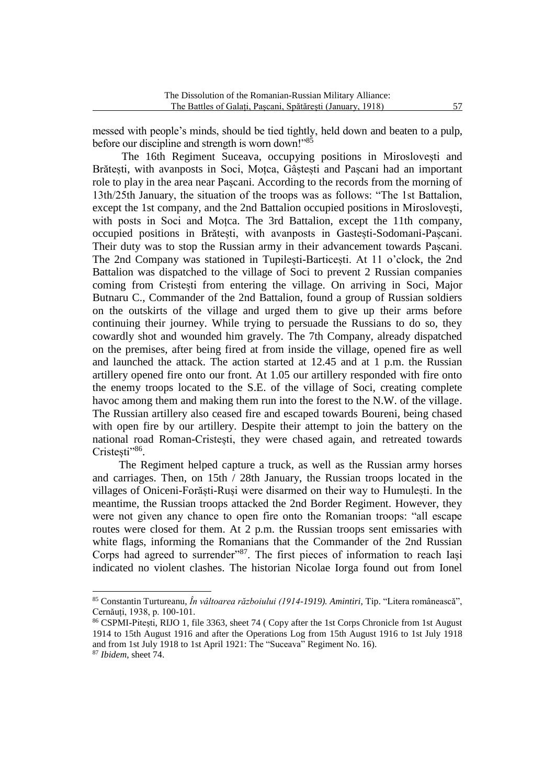messed with people's minds, should be tied tightly, held down and beaten to a pulp, before our discipline and strength is worn down!"<sup>85</sup>

The 16th Regiment Suceava, occupying positions in Miroslovești and Brătești, with avanposts in Soci, Moțca, Gâștești and Pașcani had an important role to play in the area near Pașcani. According to the records from the morning of 13th/25th January, the situation of the troops was as follows: "The 1st Battalion, except the 1st company, and the 2nd Battalion occupied positions in Miroslovești, with posts in Soci and Moțca. The 3rd Battalion, except the 11th company, occupied positions in Brătești, with avanposts in Gastești-Sodomani-Pașcani. Their duty was to stop the Russian army in their advancement towards Pașcani. The 2nd Company was stationed in Tupilești-Barticești. At 11 o'clock, the 2nd Battalion was dispatched to the village of Soci to prevent 2 Russian companies coming from Cristești from entering the village. On arriving in Soci, Major Butnaru C., Commander of the 2nd Battalion, found a group of Russian soldiers on the outskirts of the village and urged them to give up their arms before continuing their journey. While trying to persuade the Russians to do so, they cowardly shot and wounded him gravely. The 7th Company, already dispatched on the premises, after being fired at from inside the village, opened fire as well and launched the attack. The action started at 12.45 and at 1 p.m. the Russian artillery opened fire onto our front. At 1.05 our artillery responded with fire onto the enemy troops located to the S.E. of the village of Soci, creating complete havoc among them and making them run into the forest to the N.W. of the village. The Russian artillery also ceased fire and escaped towards Boureni, being chased with open fire by our artillery. Despite their attempt to join the battery on the national road Roman-Cristești, they were chased again, and retreated towards Cristești"<sup>86</sup>.

The Regiment helped capture a truck, as well as the Russian army horses and carriages. Then, on 15th / 28th January, the Russian troops located in the villages of Oniceni-Forăști-Ruși were disarmed on their way to Humulești. In the meantime, the Russian troops attacked the 2nd Border Regiment. However, they were not given any chance to open fire onto the Romanian troops: "all escape routes were closed for them. At 2 p.m. the Russian troops sent emissaries with white flags, informing the Romanians that the Commander of the 2nd Russian Corps had agreed to surrender"<sup>87</sup>. The first pieces of information to reach Iași indicated no violent clashes. The historian Nicolae Iorga found out from Ionel

<sup>85</sup> Constantin Turtureanu, *În vâltoarea războiului (1914-1919). Amintiri*, Tip. "Litera românească", Cernăuți, 1938, p. 100-101.

<sup>86</sup> CSPMI-Pitești, RIJO 1, file 3363, sheet 74 ( Copy after the 1st Corps Chronicle from 1st August 1914 to 15th August 1916 and after the Operations Log from 15th August 1916 to 1st July 1918 and from 1st July 1918 to 1st April 1921: The "Suceava" Regiment No. 16).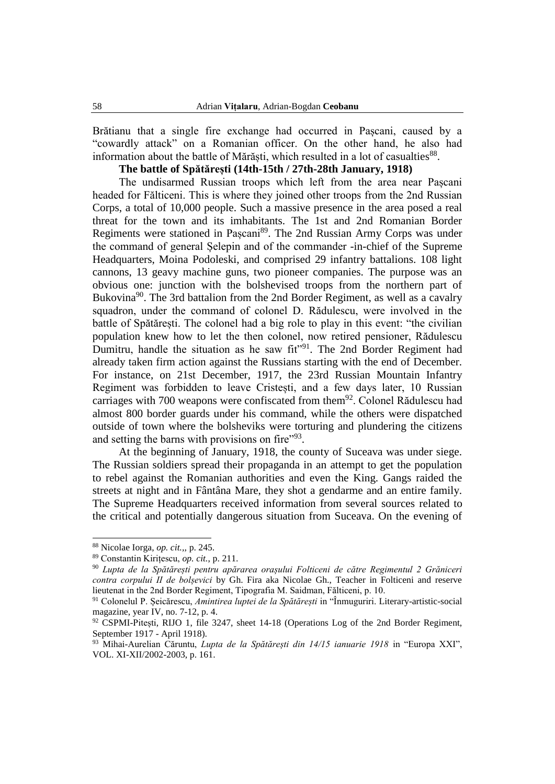Brătianu that a single fire exchange had occurred in Pașcani, caused by a "cowardly attack" on a Romanian officer. On the other hand, he also had information about the battle of Mărăști, which resulted in a lot of casualties<sup>88</sup>.

# **The battle of Spătărești (14th-15th / 27th-28th January, 1918)**

The undisarmed Russian troops which left from the area near Pașcani headed for Fălticeni. This is where they joined other troops from the 2nd Russian Corps, a total of 10,000 people. Such a massive presence in the area posed a real threat for the town and its imhabitants. The 1st and 2nd Romanian Border Regiments were stationed in Pașcani<sup>89</sup>. The 2nd Russian Army Corps was under the command of general Șelepin and of the commander -in-chief of the Supreme Headquarters, Moina Podoleski, and comprised 29 infantry battalions. 108 light cannons, 13 geavy machine guns, two pioneer companies. The purpose was an obvious one: junction with the bolshevised troops from the northern part of Bukovina<sup>90</sup>. The 3rd battalion from the 2nd Border Regiment, as well as a cavalry squadron, under the command of colonel D. Rădulescu, were involved in the battle of Spătărești. The colonel had a big role to play in this event: "the civilian population knew how to let the then colonel, now retired pensioner, Rădulescu Dumitru, handle the situation as he saw fit"<sup>91</sup>. The 2nd Border Regiment had already taken firm action against the Russians starting with the end of December. For instance, on 21st December, 1917, the 23rd Russian Mountain Infantry Regiment was forbidden to leave Cristești, and a few days later, 10 Russian carriages with 700 weapons were confiscated from them<sup>92</sup>. Colonel Rădulescu had almost 800 border guards under his command, while the others were dispatched outside of town where the bolsheviks were torturing and plundering the citizens and setting the barns with provisions on fire"93.

At the beginning of January, 1918, the county of Suceava was under siege. The Russian soldiers spread their propaganda in an attempt to get the population to rebel against the Romanian authorities and even the King. Gangs raided the streets at night and in Fântâna Mare, they shot a gendarme and an entire family. The Supreme Headquarters received information from several sources related to the critical and potentially dangerous situation from Suceava. On the evening of

<sup>88</sup> Nicolae Iorga, *op. cit.,,* p. 245.

<sup>89</sup> Constantin Kirițescu, *op. cit.*, p. 211.

<sup>90</sup> *Lupta de la Spătărești pentru apărarea orașului Folticeni de către Regimentul 2 Grăniceri contra corpului II de bolșevici* by Gh. Fira aka Nicolae Gh., Teacher in Folticeni and reserve lieutenat in the 2nd Border Regiment, Tipografia M. Saidman, Fălticeni, p. 10.

<sup>91</sup> Colonelul P. Șeicărescu, *Amintirea luptei de la Spătărești* in "Înmuguriri. Literary-artistic-social magazine, year IV, no. 7-12, p. 4.

<sup>92</sup> CSPMI-Pitești, RIJO 1, file 3247, sheet 14-18 (Operations Log of the 2nd Border Regiment, September 1917 - April 1918).

<sup>93</sup> Mihai-Aurelian Căruntu, *Lupta de la Spătărești din 14/15 ianuarie 1918* in "Europa XXI", VOL. XI-XII/2002-2003, p. 161.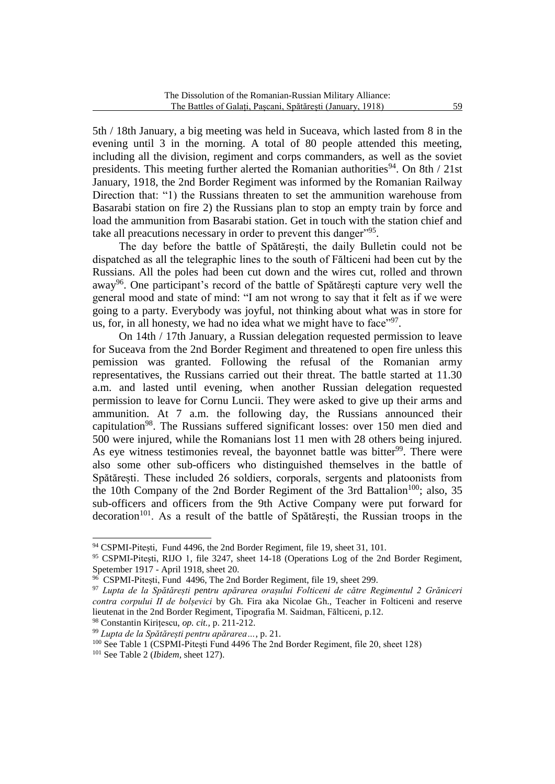5th / 18th January, a big meeting was held in Suceava, which lasted from 8 in the evening until 3 in the morning. A total of 80 people attended this meeting, including all the division, regiment and corps commanders, as well as the soviet presidents. This meeting further alerted the Romanian authorities<sup>94</sup>. On 8th / 21st January, 1918, the 2nd Border Regiment was informed by the Romanian Railway Direction that: "1) the Russians threaten to set the ammunition warehouse from Basarabi station on fire 2) the Russians plan to stop an empty train by force and load the ammunition from Basarabi station. Get in touch with the station chief and take all preacutions necessary in order to prevent this danger"<sup>95</sup>.

The day before the battle of Spătărești, the daily Bulletin could not be dispatched as all the telegraphic lines to the south of Fălticeni had been cut by the Russians. All the poles had been cut down and the wires cut, rolled and thrown away<sup>96</sup>. One participant's record of the battle of Spătărești capture very well the general mood and state of mind: "I am not wrong to say that it felt as if we were going to a party. Everybody was joyful, not thinking about what was in store for us, for, in all honesty, we had no idea what we might have to face"<sup>97</sup>.

On 14th / 17th January, a Russian delegation requested permission to leave for Suceava from the 2nd Border Regiment and threatened to open fire unless this pemission was granted. Following the refusal of the Romanian army representatives, the Russians carried out their threat. The battle started at 11.30 a.m. and lasted until evening, when another Russian delegation requested permission to leave for Cornu Luncii. They were asked to give up their arms and ammunition. At 7 a.m. the following day, the Russians announced their capitulation<sup>98</sup>. The Russians suffered significant losses: over 150 men died and 500 were injured, while the Romanians lost 11 men with 28 others being injured. As eye witness testimonies reveal, the bayonnet battle was bitter<sup>99</sup>. There were also some other sub-officers who distinguished themselves in the battle of Spătărești. These included 26 soldiers, corporals, sergents and platoonists from the 10th Company of the 2nd Border Regiment of the 3rd Battalion<sup>100</sup>; also, 35 sub-officers and officers from the 9th Active Company were put forward for  $decoration<sup>101</sup>$ . As a result of the battle of Spătărești, the Russian troops in the

<sup>&</sup>lt;sup>94</sup> CSPMI-Pitești, Fund 4496, the 2nd Border Regiment, file 19, sheet 31, 101.

<sup>&</sup>lt;sup>95</sup> CSPMI-Pitesti, RIJO 1, file 3247, sheet 14-18 (Operations Log of the 2nd Border Regiment, Spetember 1917 - April 1918, sheet 20.

<sup>96</sup> CSPMI-Pitești, Fund 4496, The 2nd Border Regiment, file 19, sheet 299.

<sup>97</sup> *Lupta de la Spătărești pentru apărarea orașului Folticeni de către Regimentul 2 Grăniceri contra corpului II de bolșevici* by Gh. Fira aka Nicolae Gh., Teacher in Folticeni and reserve lieutenat in the 2nd Border Regiment, Tipografia M. Saidman, Fălticeni, p.12.

<sup>98</sup> Constantin Kirițescu, *op. cit.,* p. 211-212.

<sup>99</sup> *Lupta de la Spătărești pentru apărarea…*, p. 21.

<sup>&</sup>lt;sup>100</sup> See Table 1 (CSPMI-Pitești Fund 4496 The 2nd Border Regiment, file 20, sheet 128)

<sup>101</sup> See Table 2 (*Ibidem*, sheet 127).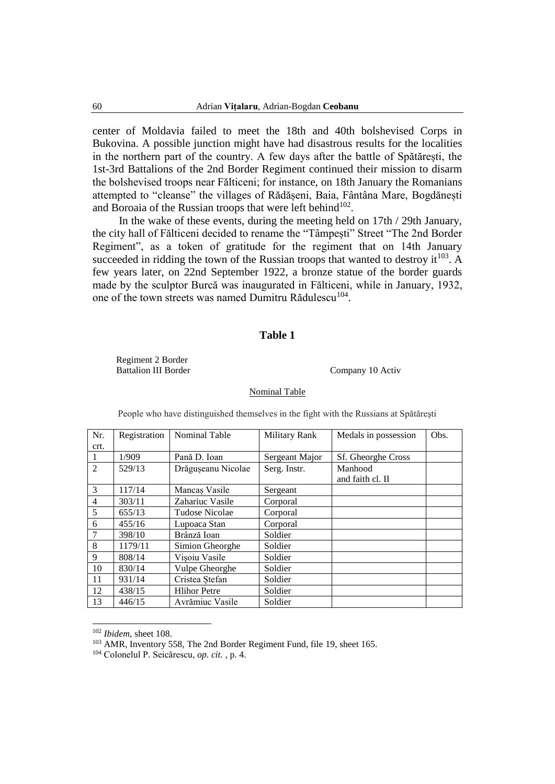center of Moldavia failed to meet the 18th and 40th bolshevised Corps in Bukovina. A possible junction might have had disastrous results for the localities in the northern part of the country. A few days after the battle of Spătărești, the 1st-3rd Battalions of the 2nd Border Regiment continued their mission to disarm the bolshevised troops near Fălticeni; for instance, on 18th January the Romanians attempted to "cleanse" the villages of Rădășeni, Baia, Fântâna Mare, Bogdănești and Boroaia of the Russian troops that were left behind<sup>102</sup>.

In the wake of these events, during the meeting held on 17th / 29th January, the city hall of Fălticeni decided to rename the "Tâmpești" Street "The 2nd Border Regiment", as a token of gratitude for the regiment that on 14th January succeeded in ridding the town of the Russian troops that wanted to destroy it<sup>103</sup>. A few years later, on 22nd September 1922, a bronze statue of the border guards made by the sculptor Burcă was inaugurated in Fălticeni, while in January, 1932, one of the town streets was named Dumitru Rădulescu<sup>104</sup>.

### **Table 1**

Regiment 2 Border Battalion III Border Company 10 Activ

#### Nominal Table

| Nr.            | Registration | Nominal Table       | <b>Military Rank</b> | Medals in possession | Obs. |
|----------------|--------------|---------------------|----------------------|----------------------|------|
| crt.           |              |                     |                      |                      |      |
| 1              | 1/909        | Pană D. Ioan        | Sergeant Major       | Sf. Gheorghe Cross   |      |
| $\overline{2}$ | 529/13       | Drăgușeanu Nicolae  | Serg. Instr.         | Manhood              |      |
|                |              |                     |                      | and faith cl. II     |      |
| 3              | 117/14       | Mancas Vasile       | Sergeant             |                      |      |
| $\overline{4}$ | 303/11       | Zahariuc Vasile     | Corporal             |                      |      |
| 5              | 655/13       | Tudose Nicolae      | Corporal             |                      |      |
| 6              | 455/16       | Lupoaca Stan        | Corporal             |                      |      |
| $\overline{7}$ | 398/10       | Brânză Ioan         | Soldier              |                      |      |
| 8              | 1179/11      | Simion Gheorghe     | Soldier              |                      |      |
| 9              | 808/14       | Visoiu Vasile       | Soldier              |                      |      |
| 10             | 830/14       | Vulpe Gheorghe      | Soldier              |                      |      |
| 11             | 931/14       | Cristea Stefan      | Soldier              |                      |      |
| 12             | 438/15       | <b>Hlihor Petre</b> | Soldier              |                      |      |
| 13             | 446/15       | Avrămiuc Vasile     | Soldier              |                      |      |

People who have distinguished themselves in the fight with the Russians at Spătăreşti

<sup>102</sup> *Ibidem*, sheet 108.

<sup>&</sup>lt;sup>103</sup> AMR, Inventory 558, The 2nd Border Regiment Fund, file 19, sheet 165.

<sup>104</sup> Colonelul P. Seicărescu, *op. cit. ,* p. 4.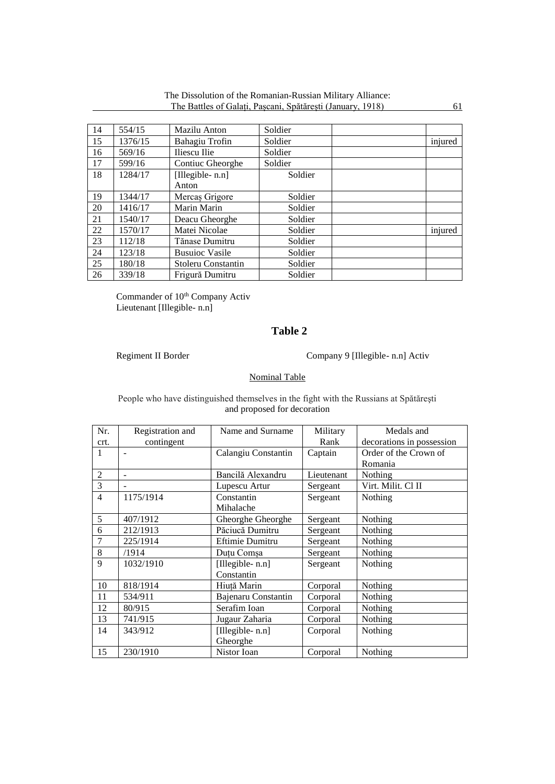| 14 | 554/15  | Mazilu Anton          | Soldier |         |
|----|---------|-----------------------|---------|---------|
| 15 | 1376/15 | Bahagiu Trofin        | Soldier | injured |
| 16 | 569/16  | Iliescu Ilie          | Soldier |         |
| 17 | 599/16  | Contiuc Gheorghe      | Soldier |         |
| 18 | 1284/17 | [Illegible- n.n]      | Soldier |         |
|    |         | Anton                 |         |         |
| 19 | 1344/17 | Mercas Grigore        | Soldier |         |
| 20 | 1416/17 | Marin Marin           | Soldier |         |
| 21 | 1540/17 | Deacu Gheorghe        | Soldier |         |
| 22 | 1570/17 | Matei Nicolae         | Soldier | injured |
| 23 | 112/18  | Tănase Dumitru        | Soldier |         |
| 24 | 123/18  | <b>Busuioc Vasile</b> | Soldier |         |
| 25 | 180/18  | Stoleru Constantin    | Soldier |         |
| 26 | 339/18  | Frigură Dumitru       | Soldier |         |

The Dissolution of the Romanian-Russian Military Alliance: The Battles of Galați, Pașcani, Spătărești (January, 1918) 61

Commander of 10<sup>th</sup> Company Activ Lieutenant [Illegible- n.n]

# **Table 2**

Regiment II Border Company 9 [Illegible- n.n] Activ

### Nominal Table

People who have distinguished themselves in the fight with the Russians at Spătăreşti and proposed for decoration

| Nr.            | Registration and         | Name and Surname    | Military   | Medals and                |
|----------------|--------------------------|---------------------|------------|---------------------------|
| crt.           | contingent               |                     | Rank       | decorations in possession |
| 1              | $\overline{\phantom{a}}$ | Calangiu Constantin | Captain    | Order of the Crown of     |
|                |                          |                     |            | Romania                   |
| $\overline{2}$ | $\overline{\phantom{a}}$ | Bancilă Alexandru   | Lieutenant | Nothing                   |
| 3              |                          | Lupescu Artur       | Sergeant   | Virt. Milit. Cl II        |
| $\overline{4}$ | 1175/1914                | Constantin          | Sergeant   | Nothing                   |
|                |                          | Mihalache           |            |                           |
| 5              | 407/1912                 | Gheorghe Gheorghe   | Sergeant   | Nothing                   |
| 6              | 212/1913                 | Păciucă Dumitru     | Sergeant   | Nothing                   |
| 7              | 225/1914                 | Eftimie Dumitru     | Sergeant   | Nothing                   |
| 8              | /1914                    | Duțu Comșa          | Sergeant   | Nothing                   |
| 9              | 1032/1910                | [Illegible- n.n]    | Sergeant   | Nothing                   |
|                |                          | Constantin          |            |                           |
| 10             | 818/1914                 | Hiuță Marin         | Corporal   | Nothing                   |
| 11             | 534/911                  | Bajenaru Constantin | Corporal   | Nothing                   |
| 12             | 80/915                   | Serafim Ioan        | Corporal   | Nothing                   |
| 13             | 741/915                  | Jugaur Zaharia      | Corporal   | Nothing                   |
| 14             | 343/912                  | [Illegible- n.n]    | Corporal   | Nothing                   |
|                |                          | Gheorghe            |            |                           |
| 15             | 230/1910                 | Nistor Ioan         | Corporal   | Nothing                   |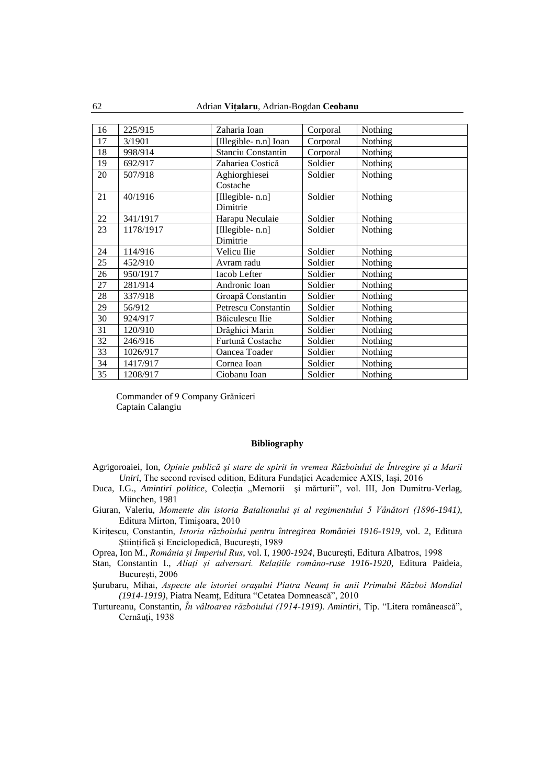| 16 | 225/915   | Zaharia Ioan               | Corporal | Nothing |
|----|-----------|----------------------------|----------|---------|
| 17 | 3/1901    | [Illegible-n.n] Ioan       | Corporal | Nothing |
| 18 | 998/914   | <b>Stanciu Constantin</b>  | Corporal | Nothing |
| 19 | 692/917   | Zahariea Costică           | Soldier  | Nothing |
| 20 | 507/918   | Aghiorghiesei              | Soldier  | Nothing |
|    |           | Costache                   |          |         |
| 21 | 40/1916   | [Illegible- n.n]           | Soldier  | Nothing |
|    |           | Dimitrie                   |          |         |
| 22 | 341/1917  | Harapu Neculaie            | Soldier  | Nothing |
| 23 | 1178/1917 | [Illegible- n.n]           | Soldier  | Nothing |
|    |           | Dimitrie                   |          |         |
| 24 | 114/916   | Velicu Ilie                | Soldier  | Nothing |
| 25 | 452/910   | Avram radu                 | Soldier  | Nothing |
| 26 | 950/1917  | Iacob Lefter               | Soldier  | Nothing |
| 27 | 281/914   | Andronic Ioan              | Soldier  | Nothing |
| 28 | 337/918   | Groapă Constantin          | Soldier  | Nothing |
| 29 | 56/912    | <b>Petrescu Constantin</b> | Soldier  | Nothing |
| 30 | 924/917   | Băiculescu Ilie            | Soldier  | Nothing |
| 31 | 120/910   | Drăghici Marin             | Soldier  | Nothing |
| 32 | 246/916   | Furtună Costache           | Soldier  | Nothing |
| 33 | 1026/917  | Oancea Toader              | Soldier  | Nothing |
| 34 | 1417/917  | Cornea Ioan                | Soldier  | Nothing |
| 35 | 1208/917  | Ciobanu Ioan               | Soldier  | Nothing |

Commander of 9 Company Grăniceri Captain Calangiu

#### **Bibliography**

- Agrigoroaiei, Ion, *Opinie publică şi stare de spirit în vremea Războiului de Întregire şi a Marii Uniri*, The second revised edition, Editura Fundației Academice AXIS, Iași, 2016
- Duca, I.G., Amintiri politice, Colecția "Memorii și mărturii", vol. III, Jon Dumitru-Verlag, München, 1981
- Giuran, Valeriu, *Momente din istoria Batalionului și al regimentului 5 Vânători (1896-1941)*, Editura Mirton, Timișoara, 2010
- Kirițescu, Constantin, *Istoria războiului pentru întregirea României 1916-1919*, vol. 2, Editura Științifică și Enciclopedică, București, 1989
- Oprea, Ion M., *România și Imperiul Rus*, vol. I, *1900-1924*, București, Editura Albatros, 1998
- Stan, Constantin I., *Aliați și adversari. Relațiile româno-ruse 1916-1920*, Editura Paideia,
- București, 2006
- Șurubaru, Mihai, *Aspecte ale istoriei orașului Piatra Neamț în anii Primului Război Mondial (1914-1919)*, Piatra Neamț, Editura "Cetatea Domnească", 2010
- Turtureanu, Constantin, *În vâltoarea războiului (1914-1919). Amintiri*, Tip. "Litera românească", Cernăuti, 1938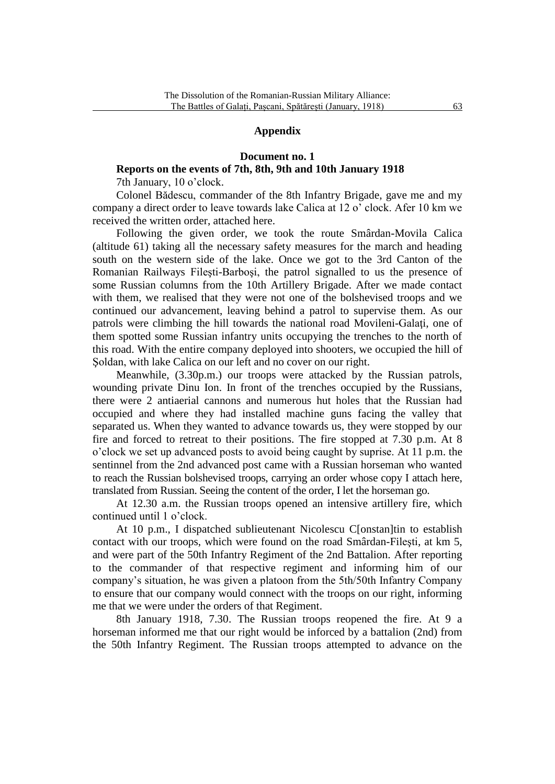## **Appendix**

#### **Document no. 1**

# **Reports on the events of 7th, 8th, 9th and 10th January 1918**

7th January, 10 o'clock.

Colonel Bădescu, commander of the 8th Infantry Brigade, gave me and my company a direct order to leave towards lake Calica at 12 o' clock. Afer 10 km we received the written order, attached here.

Following the given order, we took the route Smârdan-Movila Calica (altitude 61) taking all the necessary safety measures for the march and heading south on the western side of the lake. Once we got to the 3rd Canton of the Romanian Railways Fileşti-Barboşi, the patrol signalled to us the presence of some Russian columns from the 10th Artillery Brigade. After we made contact with them, we realised that they were not one of the bolshevised troops and we continued our advancement, leaving behind a patrol to supervise them. As our patrols were climbing the hill towards the national road Movileni-Galaţi, one of them spotted some Russian infantry units occupying the trenches to the north of this road. With the entire company deployed into shooters, we occupied the hill of Soldan, with lake Calica on our left and no cover on our right.

Meanwhile, (3.30p.m.) our troops were attacked by the Russian patrols, wounding private Dinu Ion. In front of the trenches occupied by the Russians, there were 2 antiaerial cannons and numerous hut holes that the Russian had occupied and where they had installed machine guns facing the valley that separated us. When they wanted to advance towards us, they were stopped by our fire and forced to retreat to their positions. The fire stopped at 7.30 p.m. At 8 o'clock we set up advanced posts to avoid being caught by suprise. At 11 p.m. the sentinnel from the 2nd advanced post came with a Russian horseman who wanted to reach the Russian bolshevised troops, carrying an order whose copy I attach here, translated from Russian. Seeing the content of the order, I let the horseman go.

At 12.30 a.m. the Russian troops opened an intensive artillery fire, which continued until 1 o'clock.

At 10 p.m., I dispatched sublieutenant Nicolescu C[onstan]tin to establish contact with our troops, which were found on the road Smârdan-Fileşti, at km 5, and were part of the 50th Infantry Regiment of the 2nd Battalion. After reporting to the commander of that respective regiment and informing him of our company's situation, he was given a platoon from the 5th/50th Infantry Company to ensure that our company would connect with the troops on our right, informing me that we were under the orders of that Regiment.

8th January 1918, 7.30. The Russian troops reopened the fire. At 9 a horseman informed me that our right would be inforced by a battalion (2nd) from the 50th Infantry Regiment. The Russian troops attempted to advance on the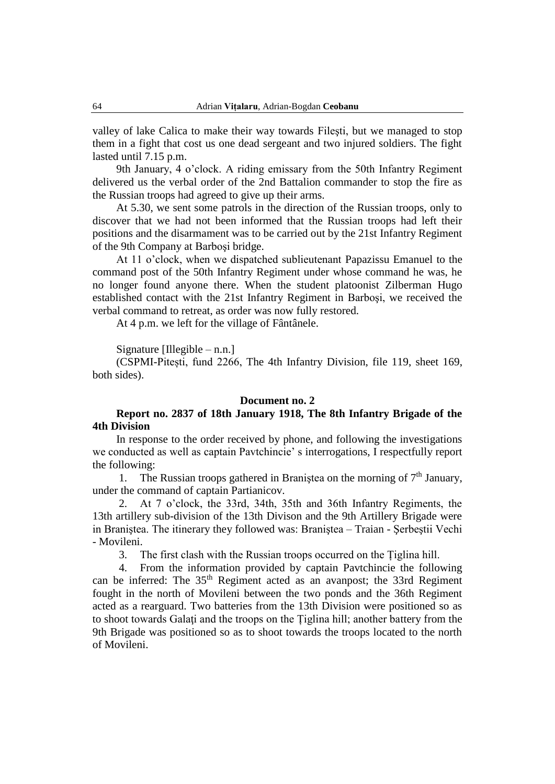valley of lake Calica to make their way towards Fileşti, but we managed to stop them in a fight that cost us one dead sergeant and two injured soldiers. The fight lasted until 7.15 p.m.

9th January, 4 o'clock. A riding emissary from the 50th Infantry Regiment delivered us the verbal order of the 2nd Battalion commander to stop the fire as the Russian troops had agreed to give up their arms.

At 5.30, we sent some patrols in the direction of the Russian troops, only to discover that we had not been informed that the Russian troops had left their positions and the disarmament was to be carried out by the 21st Infantry Regiment of the 9th Company at Barboşi bridge.

At 11 o'clock, when we dispatched sublieutenant Papazissu Emanuel to the command post of the 50th Infantry Regiment under whose command he was, he no longer found anyone there. When the student platoonist Zilberman Hugo established contact with the 21st Infantry Regiment in Barboşi, we received the verbal command to retreat, as order was now fully restored.

At 4 p.m. we left for the village of Fântânele.

Signature [Illegible – n.n.]

(CSPMI-Pitești, fund 2266, The 4th Infantry Division, file 119, sheet 169, both sides).

#### **Document no. 2**

## **Report no. 2837 of 18th January 1918, The 8th Infantry Brigade of the 4th Division**

In response to the order received by phone, and following the investigations we conducted as well as captain Pavtchincie' s interrogations, I respectfully report the following:

1. The Russian troops gathered in Branistea on the morning of  $7<sup>th</sup>$  January, under the command of captain Partianicov.

2. At 7 o'clock, the 33rd, 34th, 35th and 36th Infantry Regiments, the 13th artillery sub-division of the 13th Divison and the 9th Artillery Brigade were in Braniştea. The itinerary they followed was: Braniştea – Traian - Şerbeştii Vechi - Movileni.

3. The first clash with the Russian troops occurred on the Țiglina hill.

4. From the information provided by captain Pavtchincie the following can be inferred: The 35<sup>th</sup> Regiment acted as an avanpost; the 33rd Regiment fought in the north of Movileni between the two ponds and the 36th Regiment acted as a rearguard. Two batteries from the 13th Division were positioned so as to shoot towards Galaţi and the troops on the Țiglina hill; another battery from the 9th Brigade was positioned so as to shoot towards the troops located to the north of Movileni.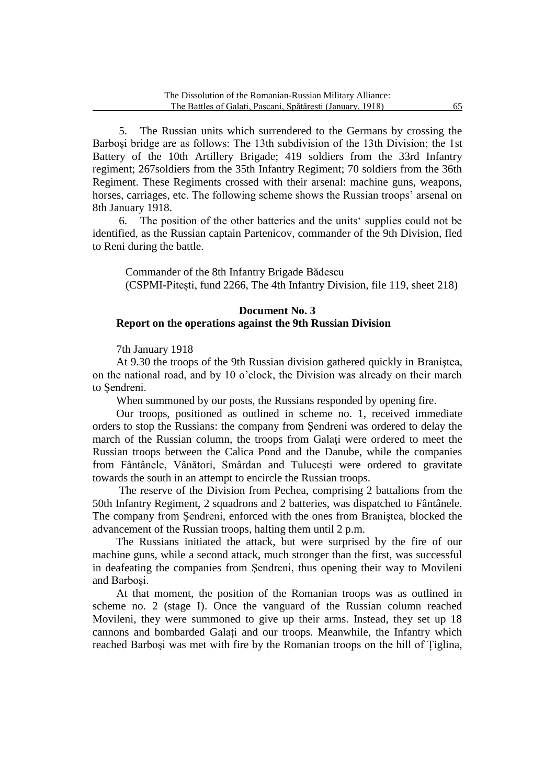5. The Russian units which surrendered to the Germans by crossing the Barboşi bridge are as follows: The 13th subdivision of the 13th Division; the 1st Battery of the 10th Artillery Brigade; 419 soldiers from the 33rd Infantry regiment; 267soldiers from the 35th Infantry Regiment; 70 soldiers from the 36th Regiment. These Regiments crossed with their arsenal: machine guns, weapons, horses, carriages, etc. The following scheme shows the Russian troops' arsenal on 8th January 1918.

6. The position of the other batteries and the units' supplies could not be identified, as the Russian captain Partenicov, commander of the 9th Division, fled to Reni during the battle.

Commander of the 8th Infantry Brigade Bădescu (CSPMI-Pitești, fund 2266, The 4th Infantry Division, file 119, sheet 218)

## **Document No. 3 Report on the operations against the 9th Russian Division**

7th January 1918

At 9.30 the troops of the 9th Russian division gathered quickly in Braniştea, on the national road, and by 10 o'clock, the Division was already on their march to Şendreni.

When summoned by our posts, the Russians responded by opening fire.

Our troops, positioned as outlined in scheme no. 1, received immediate orders to stop the Russians: the company from Şendreni was ordered to delay the march of the Russian column, the troops from Galaţi were ordered to meet the Russian troops between the Calica Pond and the Danube, while the companies from Fântânele, Vânători, Smârdan and Tuluceşti were ordered to gravitate towards the south in an attempt to encircle the Russian troops.

The reserve of the Division from Pechea, comprising 2 battalions from the 50th Infantry Regiment, 2 squadrons and 2 batteries, was dispatched to Fântânele. The company from Şendreni, enforced with the ones from Braniştea, blocked the advancement of the Russian troops, halting them until 2 p.m.

The Russians initiated the attack, but were surprised by the fire of our machine guns, while a second attack, much stronger than the first, was successful in deafeating the companies from Şendreni, thus opening their way to Movileni and Barboşi.

At that moment, the position of the Romanian troops was as outlined in scheme no. 2 (stage I). Once the vanguard of the Russian column reached Movileni, they were summoned to give up their arms. Instead, they set up 18 cannons and bombarded Galaţi and our troops. Meanwhile, the Infantry which reached Barboşi was met with fire by the Romanian troops on the hill of Țiglina,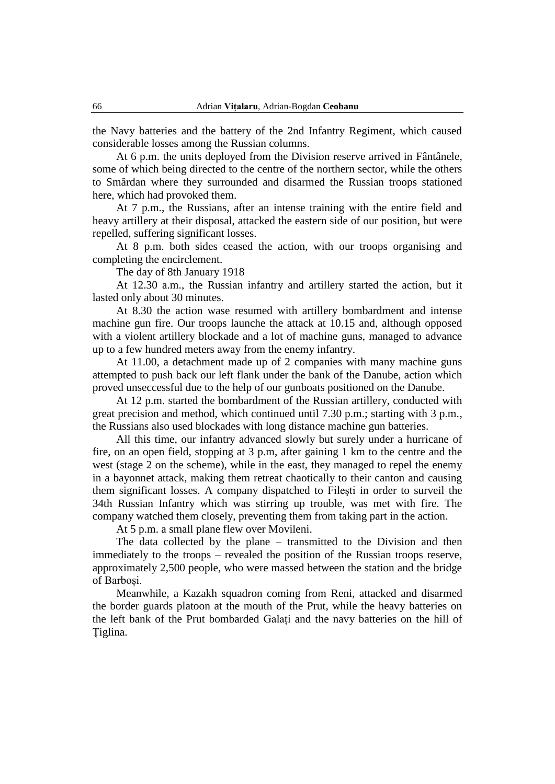the Navy batteries and the battery of the 2nd Infantry Regiment, which caused considerable losses among the Russian columns.

At 6 p.m. the units deployed from the Division reserve arrived in Fântânele, some of which being directed to the centre of the northern sector, while the others to Smârdan where they surrounded and disarmed the Russian troops stationed here, which had provoked them.

At 7 p.m., the Russians, after an intense training with the entire field and heavy artillery at their disposal, attacked the eastern side of our position, but were repelled, suffering significant losses.

At 8 p.m. both sides ceased the action, with our troops organising and completing the encirclement.

The day of 8th January 1918

At 12.30 a.m., the Russian infantry and artillery started the action, but it lasted only about 30 minutes.

At 8.30 the action wase resumed with artillery bombardment and intense machine gun fire. Our troops launche the attack at 10.15 and, although opposed with a violent artillery blockade and a lot of machine guns, managed to advance up to a few hundred meters away from the enemy infantry.

At 11.00, a detachment made up of 2 companies with many machine guns attempted to push back our left flank under the bank of the Danube, action which proved unseccessful due to the help of our gunboats positioned on the Danube.

At 12 p.m. started the bombardment of the Russian artillery, conducted with great precision and method, which continued until 7.30 p.m.; starting with 3 p.m., the Russians also used blockades with long distance machine gun batteries.

All this time, our infantry advanced slowly but surely under a hurricane of fire, on an open field, stopping at 3 p.m, after gaining 1 km to the centre and the west (stage 2 on the scheme), while in the east, they managed to repel the enemy in a bayonnet attack, making them retreat chaotically to their canton and causing them significant losses. A company dispatched to Fileşti in order to surveil the 34th Russian Infantry which was stirring up trouble, was met with fire. The company watched them closely, preventing them from taking part in the action.

At 5 p.m. a small plane flew over Movileni.

The data collected by the plane – transmitted to the Division and then immediately to the troops – revealed the position of the Russian troops reserve, approximately 2,500 people, who were massed between the station and the bridge of Barboși.

Meanwhile, a Kazakh squadron coming from Reni, attacked and disarmed the border guards platoon at the mouth of the Prut, while the heavy batteries on the left bank of the Prut bombarded Galați and the navy batteries on the hill of Țiglina.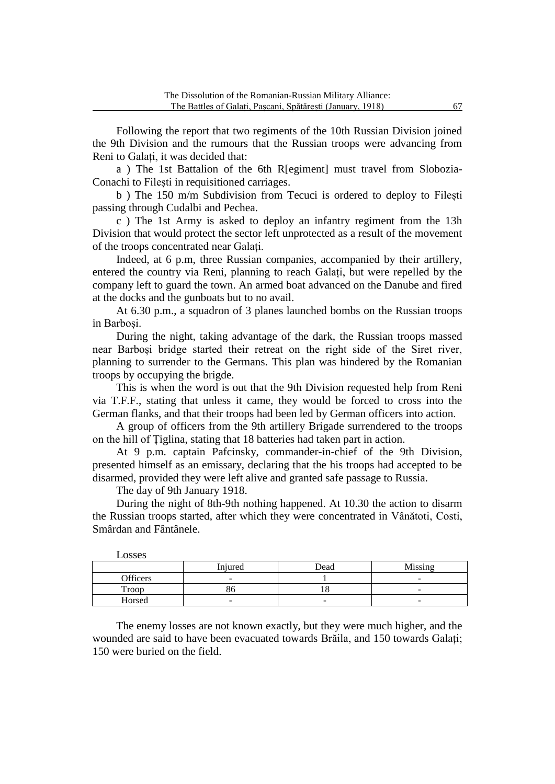Following the report that two regiments of the 10th Russian Division joined the 9th Division and the rumours that the Russian troops were advancing from Reni to Galați, it was decided that:

a ) The 1st Battalion of the 6th R[egiment] must travel from Slobozia-Conachi to Filești in requisitioned carriages.

b ) The 150 m/m Subdivision from Tecuci is ordered to deploy to Filești passing through Cudalbi and Pechea.

c ) The 1st Army is asked to deploy an infantry regiment from the 13h Division that would protect the sector left unprotected as a result of the movement of the troops concentrated near Galați.

Indeed, at 6 p.m, three Russian companies, accompanied by their artillery, entered the country via Reni, planning to reach Galați, but were repelled by the company left to guard the town. An armed boat advanced on the Danube and fired at the docks and the gunboats but to no avail.

At 6.30 p.m., a squadron of 3 planes launched bombs on the Russian troops in Barboși.

During the night, taking advantage of the dark, the Russian troops massed near Barboși bridge started their retreat on the right side of the Siret river, planning to surrender to the Germans. This plan was hindered by the Romanian troops by occupying the brigde.

This is when the word is out that the 9th Division requested help from Reni via T.F.F., stating that unless it came, they would be forced to cross into the German flanks, and that their troops had been led by German officers into action.

A group of officers from the 9th artillery Brigade surrendered to the troops on the hill of Țiglina, stating that 18 batteries had taken part in action.

At 9 p.m. captain Pafcinsky, commander-in-chief of the 9th Division, presented himself as an emissary, declaring that the his troops had accepted to be disarmed, provided they were left alive and granted safe passage to Russia.

The day of 9th January 1918.

During the night of 8th-9th nothing happened. At 10.30 the action to disarm the Russian troops started, after which they were concentrated in Vânătoti, Costi, Smârdan and Fântânele.

| LOSSES   |                          |      |                          |
|----------|--------------------------|------|--------------------------|
|          | Injured                  | Dead | Missing                  |
| Officers | -                        |      | $\overline{\phantom{a}}$ |
| Troop    | ου                       |      | -                        |
| Horsed   | $\overline{\phantom{a}}$ |      | $\overline{\phantom{a}}$ |

 $L$ 

The enemy losses are not known exactly, but they were much higher, and the wounded are said to have been evacuated towards Brăila, and 150 towards Galați; 150 were buried on the field.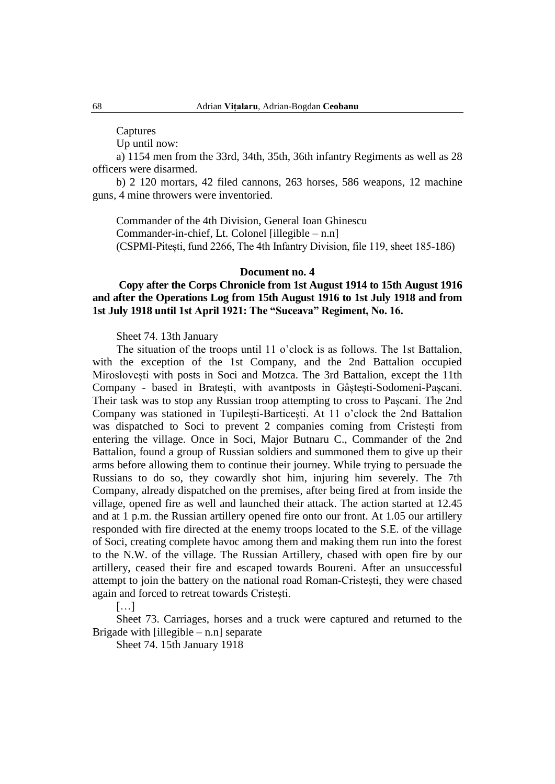Captures

Up until now:

a) 1154 men from the 33rd, 34th, 35th, 36th infantry Regiments as well as 28 officers were disarmed.

b) 2 120 mortars, 42 filed cannons, 263 horses, 586 weapons, 12 machine guns, 4 mine throwers were inventoried.

Commander of the 4th Division, General Ioan Ghinescu Commander-in-chief, Lt. Colonel [illegible – n.n] (CSPMI-Pitești, fund 2266, The 4th Infantry Division, file 119, sheet 185-186)

## **Document no. 4**

## **Copy after the Corps Chronicle from 1st August 1914 to 15th August 1916 and after the Operations Log from 15th August 1916 to 1st July 1918 and from 1st July 1918 until 1st April 1921: The "Suceava" Regiment, No. 16.**

Sheet 74. 13th January

The situation of the troops until 11 o'clock is as follows. The 1st Battalion, with the exception of the 1st Company, and the 2nd Battalion occupied Miroslovești with posts in Soci and Motzca. The 3rd Battalion, except the 11th Company - based in Bratești, with avantposts in Gâștești-Sodomeni-Pașcani. Their task was to stop any Russian troop attempting to cross to Pașcani. The 2nd Company was stationed in Tupilești-Barticești. At 11 o'clock the 2nd Battalion was dispatched to Soci to prevent 2 companies coming from Cristești from entering the village. Once in Soci, Major Butnaru C., Commander of the 2nd Battalion, found a group of Russian soldiers and summoned them to give up their arms before allowing them to continue their journey. While trying to persuade the Russians to do so, they cowardly shot him, injuring him severely. The 7th Company, already dispatched on the premises, after being fired at from inside the village, opened fire as well and launched their attack. The action started at 12.45 and at 1 p.m. the Russian artillery opened fire onto our front. At 1.05 our artillery responded with fire directed at the enemy troops located to the S.E. of the village of Soci, creating complete havoc among them and making them run into the forest to the N.W. of the village. The Russian Artillery, chased with open fire by our artillery, ceased their fire and escaped towards Boureni. After an unsuccessful attempt to join the battery on the national road Roman-Cristești, they were chased again and forced to retreat towards Cristești.

[…]

Sheet 73. Carriages, horses and a truck were captured and returned to the Brigade with  $[i]$ legible – n.n separate

Sheet 74. 15th January 1918